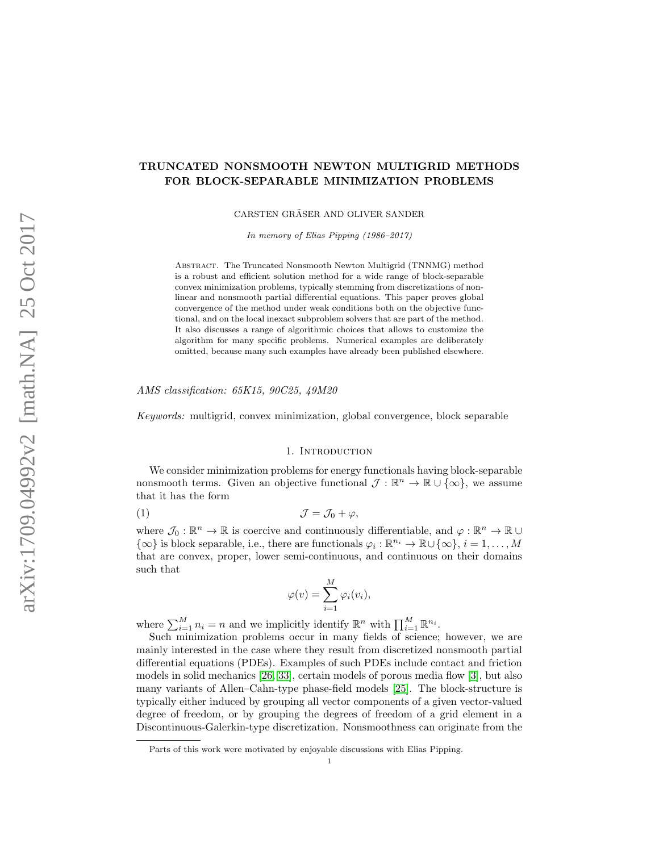# TRUNCATED NONSMOOTH NEWTON MULTIGRID METHODS FOR BLOCK-SEPARABLE MINIMIZATION PROBLEMS

CARSTEN GRÄSER AND OLIVER SANDER

In memory of Elias Pipping (1986–2017)

Abstract. The Truncated Nonsmooth Newton Multigrid (TNNMG) method is a robust and efficient solution method for a wide range of block-separable convex minimization problems, typically stemming from discretizations of nonlinear and nonsmooth partial differential equations. This paper proves global convergence of the method under weak conditions both on the objective functional, and on the local inexact subproblem solvers that are part of the method. It also discusses a range of algorithmic choices that allows to customize the algorithm for many specific problems. Numerical examples are deliberately omitted, because many such examples have already been published elsewhere.

AMS classification: 65K15, 90C25, 49M20

Keywords: multigrid, convex minimization, global convergence, block separable

### 1. INTRODUCTION

We consider minimization problems for energy functionals having block-separable nonsmooth terms. Given an objective functional  $\mathcal{J} : \mathbb{R}^n \to \mathbb{R} \cup \{\infty\}$ , we assume that it has the form

<span id="page-0-0"></span>
$$
(1) \t\t \t\t \mathcal{J} = \mathcal{J}_0 + \varphi,
$$

where  $\mathcal{J}_0: \mathbb{R}^n \to \mathbb{R}$  is coercive and continuously differentiable, and  $\varphi: \mathbb{R}^n \to \mathbb{R} \cup$  $\{\infty\}$  is block separable, i.e., there are functionals  $\varphi_i : \mathbb{R}^{n_i} \to \mathbb{R} \cup \{\infty\}, i = 1, ..., M$ that are convex, proper, lower semi-continuous, and continuous on their domains such that

$$
\varphi(v) = \sum_{i=1}^{M} \varphi_i(v_i),
$$

where  $\sum_{i=1}^{M} n_i = n$  and we implicitly identify  $\mathbb{R}^n$  with  $\prod_{i=1}^{M} \mathbb{R}^{n_i}$ .

Such minimization problems occur in many fields of science; however, we are mainly interested in the case where they result from discretized nonsmooth partial differential equations (PDEs). Examples of such PDEs include contact and friction models in solid mechanics [\[26,](#page-26-0) [33\]](#page-26-1), certain models of porous media flow [\[3\]](#page-25-0), but also many variants of Allen–Cahn-type phase-field models [\[25\]](#page-26-2). The block-structure is typically either induced by grouping all vector components of a given vector-valued degree of freedom, or by grouping the degrees of freedom of a grid element in a Discontinuous-Galerkin-type discretization. Nonsmoothness can originate from the

Parts of this work were motivated by enjoyable discussions with Elias Pipping.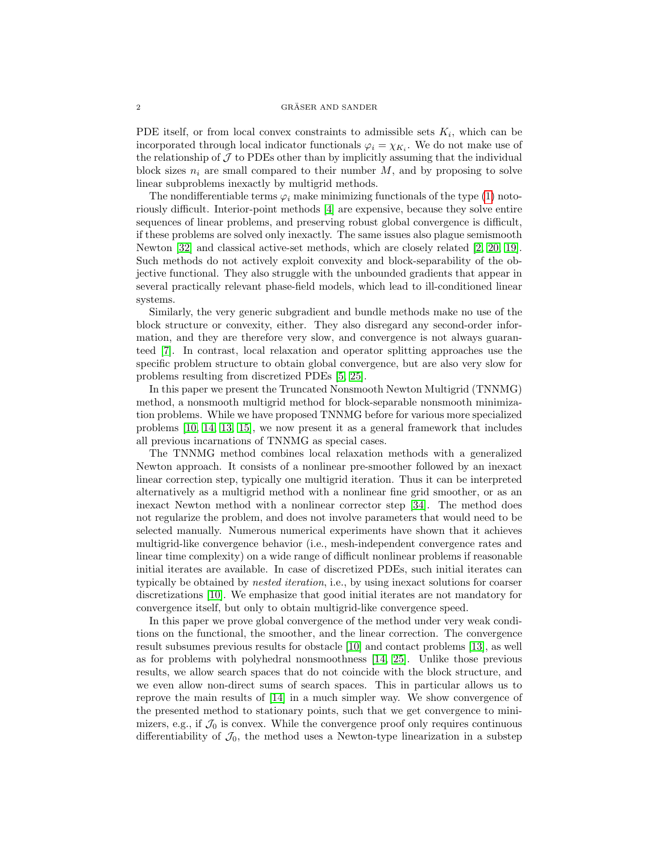PDE itself, or from local convex constraints to admissible sets  $K_i$ , which can be incorporated through local indicator functionals  $\varphi_i = \chi_{K_i}$ . We do not make use of the relationship of  $\mathcal J$  to PDEs other than by implicitly assuming that the individual block sizes  $n_i$  are small compared to their number M, and by proposing to solve linear subproblems inexactly by multigrid methods.

The nondifferentiable terms  $\varphi_i$  make minimizing functionals of the type [\(1\)](#page-0-0) notoriously difficult. Interior-point methods [\[4\]](#page-25-1) are expensive, because they solve entire sequences of linear problems, and preserving robust global convergence is difficult, if these problems are solved only inexactly. The same issues also plague semismooth Newton [\[32\]](#page-26-3) and classical active-set methods, which are closely related [\[2,](#page-25-2) [20,](#page-25-3) [19\]](#page-25-4). Such methods do not actively exploit convexity and block-separability of the objective functional. They also struggle with the unbounded gradients that appear in several practically relevant phase-field models, which lead to ill-conditioned linear systems.

Similarly, the very generic subgradient and bundle methods make no use of the block structure or convexity, either. They also disregard any second-order information, and they are therefore very slow, and convergence is not always guaranteed [\[7\]](#page-25-5). In contrast, local relaxation and operator splitting approaches use the specific problem structure to obtain global convergence, but are also very slow for problems resulting from discretized PDEs [\[5,](#page-25-6) [25\]](#page-26-2).

In this paper we present the Truncated Nonsmooth Newton Multigrid (TNNMG) method, a nonsmooth multigrid method for block-separable nonsmooth minimization problems. While we have proposed TNNMG before for various more specialized problems [\[10,](#page-25-7) [14,](#page-25-8) [13,](#page-25-9) [15\]](#page-25-10), we now present it as a general framework that includes all previous incarnations of TNNMG as special cases.

The TNNMG method combines local relaxation methods with a generalized Newton approach. It consists of a nonlinear pre-smoother followed by an inexact linear correction step, typically one multigrid iteration. Thus it can be interpreted alternatively as a multigrid method with a nonlinear fine grid smoother, or as an inexact Newton method with a nonlinear corrector step [\[34\]](#page-26-4). The method does not regularize the problem, and does not involve parameters that would need to be selected manually. Numerous numerical experiments have shown that it achieves multigrid-like convergence behavior (i.e., mesh-independent convergence rates and linear time complexity) on a wide range of difficult nonlinear problems if reasonable initial iterates are available. In case of discretized PDEs, such initial iterates can typically be obtained by nested iteration, i.e., by using inexact solutions for coarser discretizations [\[10\]](#page-25-7). We emphasize that good initial iterates are not mandatory for convergence itself, but only to obtain multigrid-like convergence speed.

In this paper we prove global convergence of the method under very weak conditions on the functional, the smoother, and the linear correction. The convergence result subsumes previous results for obstacle [\[10\]](#page-25-7) and contact problems [\[13\]](#page-25-9), as well as for problems with polyhedral nonsmoothness [\[14,](#page-25-8) [25\]](#page-26-2). Unlike those previous results, we allow search spaces that do not coincide with the block structure, and we even allow non-direct sums of search spaces. This in particular allows us to reprove the main results of [\[14\]](#page-25-8) in a much simpler way. We show convergence of the presented method to stationary points, such that we get convergence to minimizers, e.g., if  $\mathcal{J}_0$  is convex. While the convergence proof only requires continuous differentiability of  $\mathcal{J}_0$ , the method uses a Newton-type linearization in a substep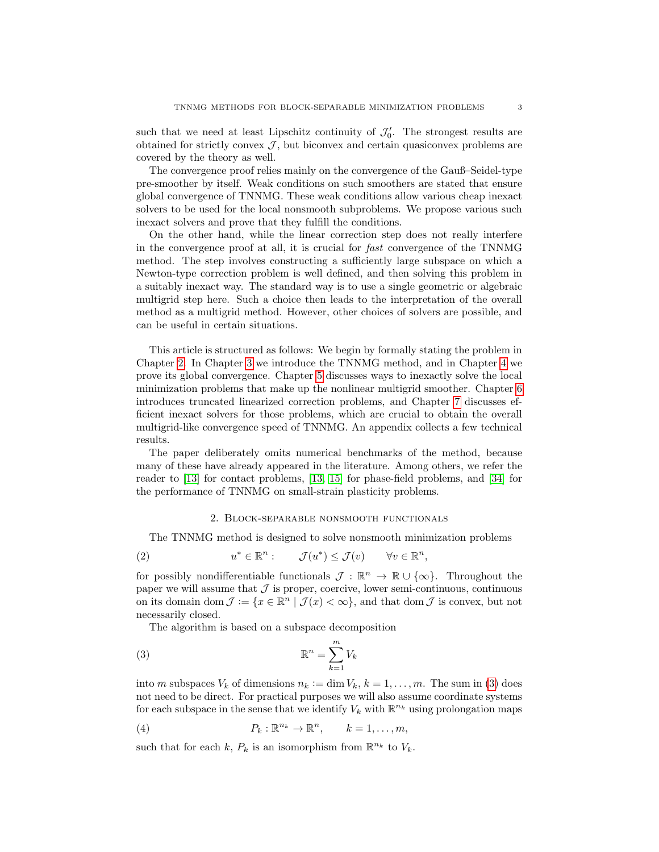such that we need at least Lipschitz continuity of  $\mathcal{J}'_0$ . The strongest results are obtained for strictly convex  $\mathcal{J}$ , but biconvex and certain quasiconvex problems are covered by the theory as well.

The convergence proof relies mainly on the convergence of the Gauß–Seidel-type pre-smoother by itself. Weak conditions on such smoothers are stated that ensure global convergence of TNNMG. These weak conditions allow various cheap inexact solvers to be used for the local nonsmooth subproblems. We propose various such inexact solvers and prove that they fulfill the conditions.

On the other hand, while the linear correction step does not really interfere in the convergence proof at all, it is crucial for fast convergence of the TNNMG method. The step involves constructing a sufficiently large subspace on which a Newton-type correction problem is well defined, and then solving this problem in a suitably inexact way. The standard way is to use a single geometric or algebraic multigrid step here. Such a choice then leads to the interpretation of the overall method as a multigrid method. However, other choices of solvers are possible, and can be useful in certain situations.

This article is structured as follows: We begin by formally stating the problem in Chapter [2.](#page-2-0) In Chapter [3](#page-5-0) we introduce the TNNMG method, and in Chapter [4](#page-8-0) we prove its global convergence. Chapter [5](#page-10-0) discusses ways to inexactly solve the local minimization problems that make up the nonlinear multigrid smoother. Chapter [6](#page-17-0) introduces truncated linearized correction problems, and Chapter [7](#page-21-0) discusses efficient inexact solvers for those problems, which are crucial to obtain the overall multigrid-like convergence speed of TNNMG. An appendix collects a few technical results.

The paper deliberately omits numerical benchmarks of the method, because many of these have already appeared in the literature. Among others, we refer the reader to [\[13\]](#page-25-9) for contact problems, [\[13,](#page-25-9) [15\]](#page-25-10) for phase-field problems, and [\[34\]](#page-26-4) for the performance of TNNMG on small-strain plasticity problems.

### 2. Block-separable nonsmooth functionals

<span id="page-2-0"></span>The TNNMG method is designed to solve nonsmooth minimization problems

<span id="page-2-2"></span>(2) 
$$
u^* \in \mathbb{R}^n
$$
:  $\mathcal{J}(u^*) \leq \mathcal{J}(v) \quad \forall v \in \mathbb{R}^n$ ,

for possibly nondifferentiable functionals  $\mathcal{J}: \mathbb{R}^n \to \mathbb{R} \cup {\infty}$ . Throughout the paper we will assume that  $J$  is proper, coercive, lower semi-continuous, continuous on its domain dom  $\mathcal{J} := \{x \in \mathbb{R}^n \mid \mathcal{J}(x) < \infty\}$ , and that dom  $\mathcal{J}$  is convex, but not necessarily closed.

The algorithm is based on a subspace decomposition

<span id="page-2-1"></span>
$$
\mathbb{R}^n = \sum_{k=1}^m V_k
$$

into m subspaces  $V_k$  of dimensions  $n_k := \dim V_k$ ,  $k = 1, \ldots, m$ . The sum in [\(3\)](#page-2-1) does not need to be direct. For practical purposes we will also assume coordinate systems for each subspace in the sense that we identify  $V_k$  with  $\mathbb{R}^{n_k}$  using prolongation maps

<span id="page-2-3"></span>(4) 
$$
P_k: \mathbb{R}^{n_k} \to \mathbb{R}^n, \qquad k = 1, \ldots, m,
$$

such that for each  $k, P_k$  is an isomorphism from  $\mathbb{R}^{n_k}$  to  $V_k$ .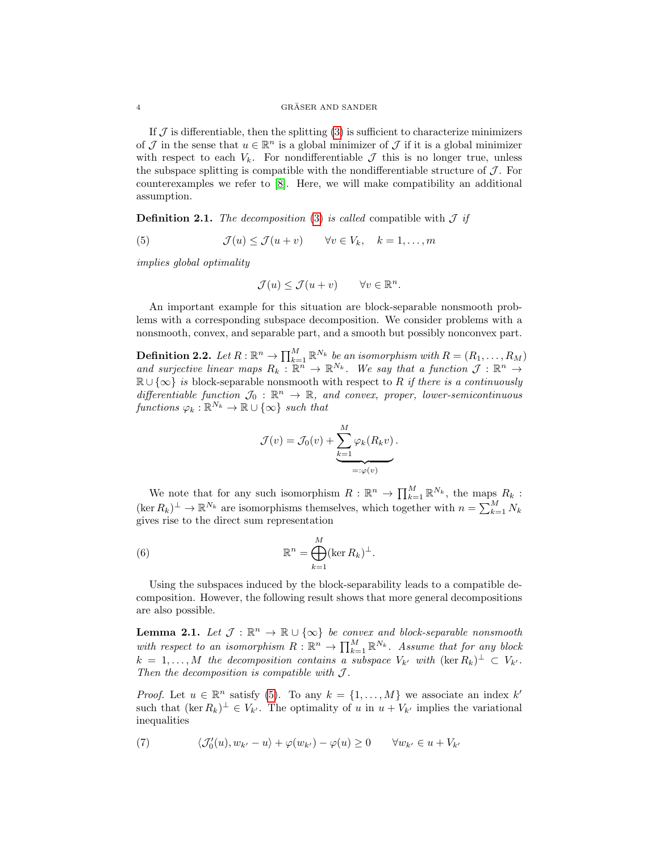If  $J$  is differentiable, then the splitting  $(3)$  is sufficient to characterize minimizers of  $\mathcal J$  in the sense that  $u \in \mathbb{R}^n$  is a global minimizer of  $\mathcal J$  if it is a global minimizer with respect to each  $V_k$ . For nondifferentiable  $\mathcal J$  this is no longer true, unless the subspace splitting is compatible with the nondifferentiable structure of  $\mathcal J$ . For counterexamples we refer to [\[8\]](#page-25-11). Here, we will make compatibility an additional assumption.

**Definition 2.1.** The decomposition [\(3\)](#page-2-1) is called compatible with  $\mathcal{J}$  if

<span id="page-3-0"></span>(5) 
$$
\mathcal{J}(u) \leq \mathcal{J}(u+v) \quad \forall v \in V_k, \quad k = 1, ..., m
$$

implies global optimality

$$
\mathcal{J}(u) \le \mathcal{J}(u+v) \qquad \forall v \in \mathbb{R}^n
$$

.

An important example for this situation are block-separable nonsmooth problems with a corresponding subspace decomposition. We consider problems with a nonsmooth, convex, and separable part, and a smooth but possibly nonconvex part.

<span id="page-3-4"></span>**Definition 2.2.** Let  $R: \mathbb{R}^n \to \prod_{k=1}^M \mathbb{R}^{N_k}$  be an isomorphism with  $R = (R_1, \ldots, R_M)$ and surjective linear maps  $R_k : \mathbb{R}^n \to \mathbb{R}^{N_k}$ . We say that a function  $\mathcal{J} : \mathbb{R}^n \to$  $\mathbb{R} \cup \{\infty\}$  is block-separable nonsmooth with respect to R if there is a continuously differentiable function  $\mathcal{J}_0 : \mathbb{R}^n \to \mathbb{R}$ , and convex, proper, lower-semicontinuous functions  $\varphi_k : \mathbb{R}^{N_k} \to \mathbb{R} \cup \{\infty\}$  such that

$$
\mathcal{J}(v) = \mathcal{J}_0(v) + \underbrace{\sum_{k=1}^{M} \varphi_k(R_k v)}_{=: \varphi(v)}.
$$

We note that for any such isomorphism  $R: \mathbb{R}^n \to \prod_{k=1}^M \mathbb{R}^{N_k}$ , the maps  $R_k$ :  $(\ker R_k)^{\perp} \to \mathbb{R}^{N_k}$  are isomorphisms themselves, which together with  $n = \sum_{k=1}^{M} N_k$ gives rise to the direct sum representation

<span id="page-3-1"></span>(6) 
$$
\mathbb{R}^n = \bigoplus_{k=1}^M (\ker R_k)^{\perp}.
$$

Using the subspaces induced by the block-separability leads to a compatible decomposition. However, the following result shows that more general decompositions are also possible.

<span id="page-3-3"></span>**Lemma 2.1.** Let  $\mathcal{J}: \mathbb{R}^n \to \mathbb{R} \cup {\infty}$  be convex and block-separable nonsmooth with respect to an isomorphism  $R : \mathbb{R}^n \to \prod_{k=1}^M \mathbb{R}^{N_k}$ . Assume that for any block  $k = 1, \ldots, M$  the decomposition contains a subspace  $V_{k'}$  with  $(\ker R_k)^{\perp} \subset V_{k'}$ . Then the decomposition is compatible with  $J$ .

*Proof.* Let  $u \in \mathbb{R}^n$  satisfy [\(5\)](#page-3-0). To any  $k = \{1, ..., M\}$  we associate an index k' such that  $(\ker R_k)^{\perp} \in V_{k'}$ . The optimality of u in  $u + V_{k'}$  implies the variational inequalities

<span id="page-3-2"></span>(7) 
$$
\langle \mathcal{J}'_0(u), w_{k'} - u \rangle + \varphi(w_{k'}) - \varphi(u) \geq 0 \qquad \forall w_{k'} \in u + V_{k'}
$$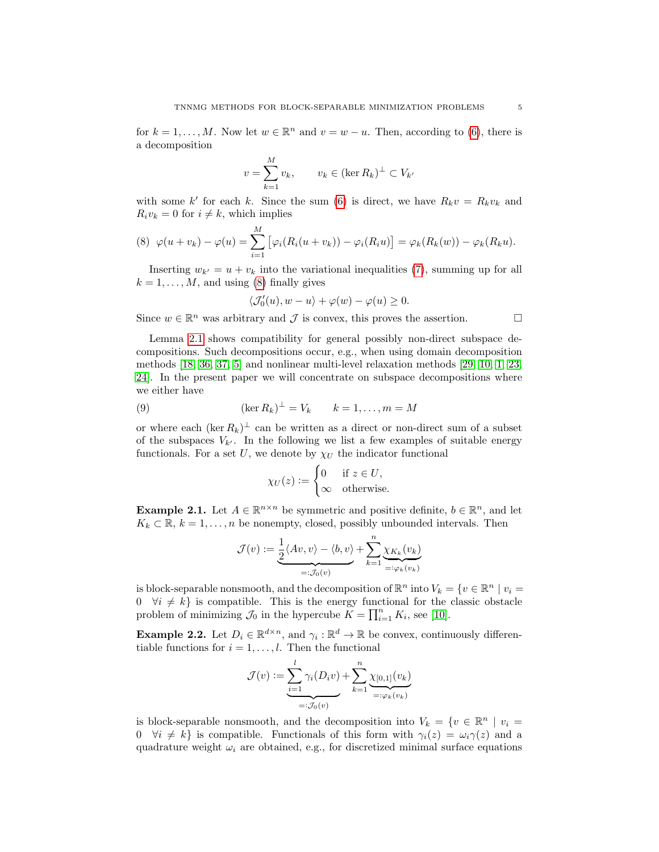for  $k = 1, ..., M$ . Now let  $w \in \mathbb{R}^n$  and  $v = w - u$ . Then, according to [\(6\)](#page-3-1), there is a decomposition

$$
v = \sum_{k=1}^{M} v_k, \qquad v_k \in (\ker R_k)^{\perp} \subset V_{k'}
$$

with some k' for each k. Since the sum [\(6\)](#page-3-1) is direct, we have  $R_k v = R_k v_k$  and  $R_i v_k = 0$  for  $i \neq k$ , which implies

<span id="page-4-0"></span>(8) 
$$
\varphi(u+v_k) - \varphi(u) = \sum_{i=1}^M \left[ \varphi_i(R_i(u+v_k)) - \varphi_i(R_i u) \right] = \varphi_k(R_k(w)) - \varphi_k(R_k u).
$$

Inserting  $w_{k'} = u + v_k$  into the variational inequalities [\(7\)](#page-3-2), summing up for all  $k = 1, \ldots, M$ , and using [\(8\)](#page-4-0) finally gives

$$
\langle \mathcal{J}_0'(u), w - u \rangle + \varphi(w) - \varphi(u) \ge 0.
$$

Since  $w \in \mathbb{R}^n$  was arbitrary and  $\mathcal J$  is convex, this proves the assertion.

Lemma [2.1](#page-3-3) shows compatibility for general possibly non-direct subspace decompositions. Such decompositions occur, e.g., when using domain decomposition methods [\[18,](#page-25-12) [36,](#page-26-5) [37,](#page-26-6) [5\]](#page-25-6) and nonlinear multi-level relaxation methods [\[29,](#page-26-7) [10,](#page-25-7) [1,](#page-25-13) [23,](#page-25-14) [24\]](#page-25-15). In the present paper we will concentrate on subspace decompositions where we either have

<span id="page-4-1"></span>(9) 
$$
(\ker R_k)^{\perp} = V_k \qquad k = 1, \dots, m = M
$$

or where each  $(\ker R_k)^{\perp}$  can be written as a direct or non-direct sum of a subset of the subspaces  $V_{k'}$ . In the following we list a few examples of suitable energy functionals. For a set U, we denote by  $\chi_U$  the indicator functional

$$
\chi_U(z) := \begin{cases} 0 & \text{if } z \in U, \\ \infty & \text{otherwise.} \end{cases}
$$

**Example 2.1.** Let  $A \in \mathbb{R}^{n \times n}$  be symmetric and positive definite,  $b \in \mathbb{R}^n$ , and let  $K_k \subset \mathbb{R}, k = 1, \ldots, n$  be nonempty, closed, possibly unbounded intervals. Then

$$
\mathcal{J}(v) := \underbrace{\frac{1}{2} \langle Av, v \rangle - \langle b, v \rangle}_{=: \mathcal{J}_0(v)} + \sum_{k=1}^n \underbrace{\chi_{K_k}(v_k)}_{=: \varphi_k(v_k)}
$$

is block-separable nonsmooth, and the decomposition of  $\mathbb{R}^n$  into  $V_k = \{v \in \mathbb{R}^n \mid v_i =$ 0  $\forall i \neq k$  is compatible. This is the energy functional for the classic obstacle problem of minimizing  $\mathcal{J}_0$  in the hypercube  $\widetilde{K} = \prod_{i=1}^n K_i$ , see [\[10\]](#page-25-7).

<span id="page-4-2"></span>**Example 2.2.** Let  $D_i \in \mathbb{R}^{d \times n}$ , and  $\gamma_i : \mathbb{R}^d \to \mathbb{R}$  be convex, continuously differentiable functions for  $i = 1, \ldots, l$ . Then the functional

$$
\mathcal{J}(v) := \underbrace{\sum_{i=1}^{l} \gamma_i(D_i v)}_{=: \mathcal{J}_0(v)} + \sum_{k=1}^{n} \underbrace{\chi_{[0,1]}(v_k)}_{=: \varphi_k(v_k)}
$$

is block-separable nonsmooth, and the decomposition into  $V_k = \{v \in \mathbb{R}^n \mid v_i =$  $0 \quad \forall i \neq k$  is compatible. Functionals of this form with  $\gamma_i(z) = \omega_i \gamma(z)$  and a quadrature weight  $\omega_i$  are obtained, e.g., for discretized minimal surface equations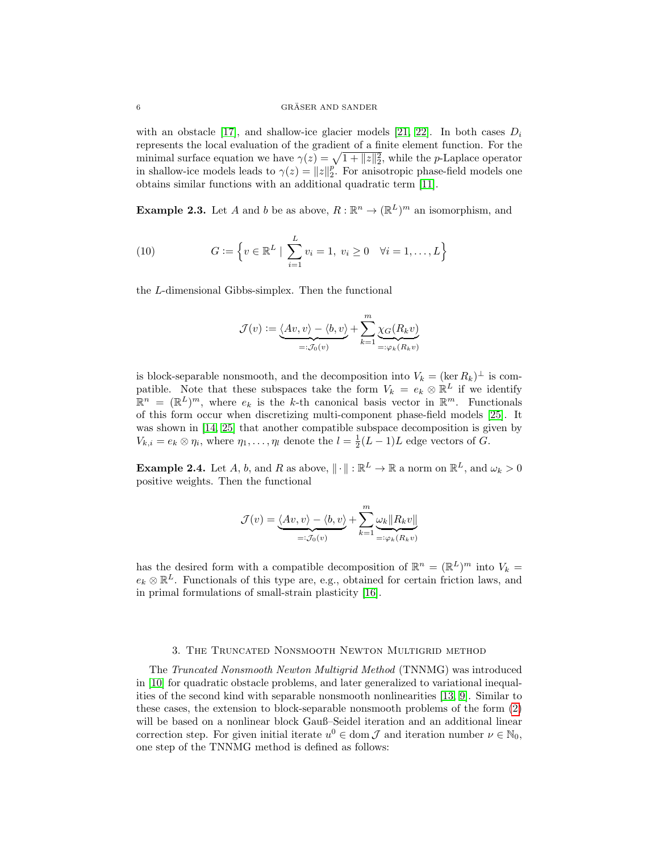#### $\begin{array}{c} \text{GRÄSER AND SAMPLER} \end{array}$

with an obstacle [\[17\]](#page-25-16), and shallow-ice glacier models [\[21,](#page-25-17) [22\]](#page-25-18). In both cases  $D_i$ represents the local evaluation of the gradient of a finite element function. For the minimal surface equation we have  $\gamma(z) = \sqrt{1 + ||z||_2^2}$ , while the *p*-Laplace operator in shallow-ice models leads to  $\gamma(z) = ||z||_2^p$ . For anisotropic phase-field models one obtains similar functions with an additional quadratic term [\[11\]](#page-25-19).

<span id="page-5-2"></span>**Example 2.3.** Let A and b be as above,  $R : \mathbb{R}^n \to (\mathbb{R}^L)^m$  an isomorphism, and

<span id="page-5-3"></span>(10) 
$$
G := \left\{ v \in \mathbb{R}^L \mid \sum_{i=1}^L v_i = 1, \ v_i \ge 0 \quad \forall i = 1, ..., L \right\}
$$

the L-dimensional Gibbs-simplex. Then the functional

$$
\mathcal{J}(v) := \underbrace{\langle Av, v \rangle - \langle b, v \rangle}_{=: \mathcal{J}_0(v)} + \sum_{k=1}^m \underbrace{\chi_G(R_k v)}_{=: \varphi_k(R_k v)}
$$

is block-separable nonsmooth, and the decomposition into  $V_k = (\ker R_k)^{\perp}$  is compatible. Note that these subspaces take the form  $V_k = e_k \otimes \mathbb{R}^L$  if we identify  $\mathbb{R}^n = (\mathbb{R}^L)^m$ , where  $e_k$  is the k-th canonical basis vector in  $\mathbb{R}^m$ . Functionals of this form occur when discretizing multi-component phase-field models [\[25\]](#page-26-2). It was shown in [\[14,](#page-25-8) [25\]](#page-26-2) that another compatible subspace decomposition is given by  $V_{k,i} = e_k \otimes \eta_i$ , where  $\eta_1, \ldots, \eta_l$  denote the  $l = \frac{1}{2}(L-1)L$  edge vectors of G.

<span id="page-5-1"></span>**Example 2.4.** Let A, b, and R as above,  $\|\cdot\| : \mathbb{R}^L \to \mathbb{R}$  a norm on  $\mathbb{R}^L$ , and  $\omega_k > 0$ positive weights. Then the functional

$$
\mathcal{J}(v) = \underbrace{\langle Av, v \rangle - \langle b, v \rangle}_{=: \mathcal{J}_0(v)} + \sum_{k=1}^m \underbrace{\omega_k || R_k v ||}_{=: \varphi_k(R_k v)}
$$

has the desired form with a compatible decomposition of  $\mathbb{R}^n = (\mathbb{R}^L)^m$  into  $V_k =$  $e_k \otimes \mathbb{R}^L$ . Functionals of this type are, e.g., obtained for certain friction laws, and in primal formulations of small-strain plasticity [\[16\]](#page-25-20).

# 3. The Truncated Nonsmooth Newton Multigrid method

<span id="page-5-0"></span>The Truncated Nonsmooth Newton Multigrid Method (TNNMG) was introduced in [\[10\]](#page-25-7) for quadratic obstacle problems, and later generalized to variational inequalities of the second kind with separable nonsmooth nonlinearities [\[13,](#page-25-9) [9\]](#page-25-21). Similar to these cases, the extension to block-separable nonsmooth problems of the form [\(2\)](#page-2-2) will be based on a nonlinear block Gauß–Seidel iteration and an additional linear correction step. For given initial iterate  $u^0 \in \text{dom } \mathcal{J}$  and iteration number  $\nu \in \mathbb{N}_0$ , one step of the TNNMG method is defined as follows: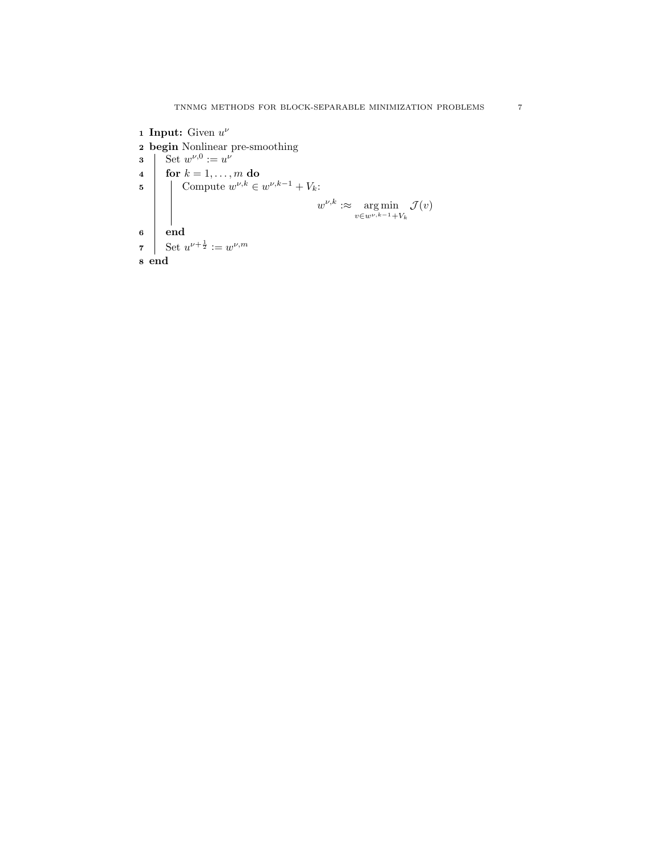<span id="page-6-2"></span><span id="page-6-1"></span><span id="page-6-0"></span>1 Input: Given  $u^{\nu}$ 2 begin Nonlinear pre-smoothing 3 Set  $w^{\nu,0} := u^{\nu}$ 4  $\vert$  for  $k = 1, \ldots, m$  do 5 Compute  $w^{\nu,k} \in w^{\nu,k-1} + V_k$ :  $w^{\nu,k} \, : \approx \quad \text{arg min}$  $v \in w^{\nu, k-1} + V_k$  $\mathcal{J}(v)$ 6 end 7 Set  $u^{\nu+\frac{1}{2}} := w^{\nu,m}$ 8 end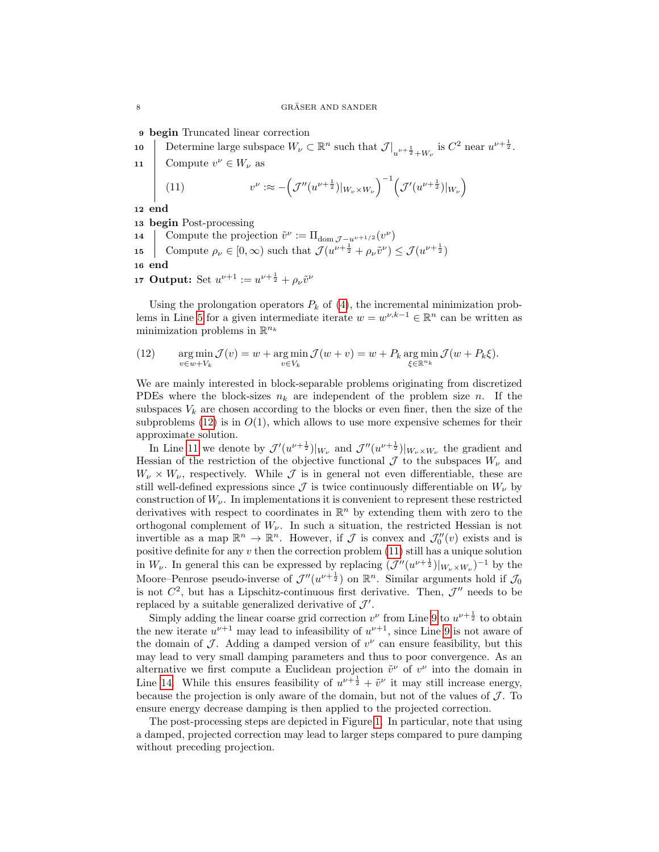<span id="page-7-3"></span>9 begin Truncated linear correction

- 10 Determine large subspace  $W_{\nu} \subset \mathbb{R}^n$  such that  $\mathcal{J}|_{u^{\nu+\frac{1}{2}}+W_{\nu}}$  is  $C^2$  near  $u^{\nu+\frac{1}{2}}$ .
- 11 Compute  $v^{\nu} \in W_{\nu}$  as

<span id="page-7-2"></span><span id="page-7-1"></span>(11) 
$$
v^{\nu} \approx -\left(\mathcal{J}''(u^{\nu+\frac{1}{2}})|_{W_{\nu}\times W_{\nu}}\right)^{-1}\left(\mathcal{J}'(u^{\nu+\frac{1}{2}})|_{W_{\nu}}\right)
$$

12 end

13 begin Post-processing

- <span id="page-7-4"></span>14 Compute the projection  $\tilde{v}^{\nu} := \Pi_{\text{dom } \mathcal{J} - u^{\nu+1/2}}(v^{\nu})$
- 15 Compute  $\rho_{\nu} \in [0, \infty)$  such that  $\mathcal{J}(u^{\nu + \frac{1}{2}} + \rho_{\nu} \tilde{v}^{\nu}) \leq \mathcal{J}(u^{\nu + \frac{1}{2}})$

16 end

<span id="page-7-5"></span>17 Output: Set  $u^{\nu+1} := u^{\nu+\frac{1}{2}} + \rho_{\nu} \tilde{v}^{\nu}$ 

Using the prolongation operators  $P_k$  of [\(4\)](#page-2-3), the incremental minimization prob-lems in Line [5](#page-6-0) for a given intermediate iterate  $w = w^{\nu, k-1} \in \mathbb{R}^n$  can be written as minimization problems in  $\mathbb{R}^{n_k}$ 

<span id="page-7-0"></span>(12) 
$$
\operatorname*{arg\,min}_{v \in w + V_k} \mathcal{J}(v) = w + \operatorname*{arg\,min}_{v \in V_k} \mathcal{J}(w + v) = w + P_k \operatorname*{arg\,min}_{\xi \in \mathbb{R}^{n_k}} \mathcal{J}(w + P_k \xi).
$$

We are mainly interested in block-separable problems originating from discretized PDEs where the block-sizes  $n_k$  are independent of the problem size n. If the subspaces  $V_k$  are chosen according to the blocks or even finer, then the size of the subproblems [\(12\)](#page-7-0) is in  $O(1)$ , which allows to use more expensive schemes for their approximate solution.

In Line [11](#page-7-1) we denote by  $\mathcal{J}'(u^{\nu+\frac{1}{2}})|_{W_{\nu}}$  and  $\mathcal{J}''(u^{\nu+\frac{1}{2}})|_{W_{\nu}\times W_{\nu}}$  the gradient and Hessian of the restriction of the objective functional  $\mathcal J$  to the subspaces  $W_{\nu}$  and  $W_{\nu} \times W_{\nu}$ , respectively. While  $\mathcal{J}$  is in general not even differentiable, these are still well-defined expressions since  $\mathcal J$  is twice continuously differentiable on  $W_{\nu}$  by construction of  $W_{\nu}$ . In implementations it is convenient to represent these restricted derivatives with respect to coordinates in  $\mathbb{R}^n$  by extending them with zero to the orthogonal complement of  $W_{\nu}$ . In such a situation, the restricted Hessian is not invertible as a map  $\mathbb{R}^n \to \mathbb{R}^n$ . However, if  $\mathcal J$  is convex and  $\mathcal J_0''(v)$  exists and is positive definite for any  $v$  then the correction problem [\(11\)](#page-7-2) still has a unique solution in  $W_{\nu}$ . In general this can be expressed by replacing  $(\mathcal{J}''(u^{\nu+\frac{1}{2}})|_{W_{\nu}\times W_{\nu}})^{-1}$  by the Moore–Penrose pseudo-inverse of  $\mathcal{J}''(u^{\nu+\frac{1}{2}})$  on  $\mathbb{R}^n$ . Similar arguments hold if  $\mathcal{J}_0$ is not  $C^2$ , but has a Lipschitz-continuous first derivative. Then,  $\mathcal{J}''$  needs to be replaced by a suitable generalized derivative of  $\mathcal{J}'$ .

Simply adding the linear coarse grid correction  $v^{\nu}$  from Line [9](#page-7-3) to  $u^{\nu+\frac{1}{2}}$  to obtain the new iterate  $u^{\nu+1}$  may lead to infeasibility of  $u^{\nu+1}$ , since Line [9](#page-7-3) is not aware of the domain of  $\mathcal J$ . Adding a damped version of  $v^{\nu}$  can ensure feasibility, but this may lead to very small damping parameters and thus to poor convergence. As an alternative we first compute a Euclidean projection  $\tilde{v}^{\nu}$  of  $v^{\nu}$  into the domain in Line [14.](#page-7-4) While this ensures feasibility of  $u^{\nu + \frac{1}{2}} + \tilde{v}^{\nu}$  it may still increase energy, because the projection is only aware of the domain, but not of the values of  $\mathcal{J}$ . To ensure energy decrease damping is then applied to the projected correction.

The post-processing steps are depicted in Figure [1.](#page-8-1) In particular, note that using a damped, projected correction may lead to larger steps compared to pure damping without preceding projection.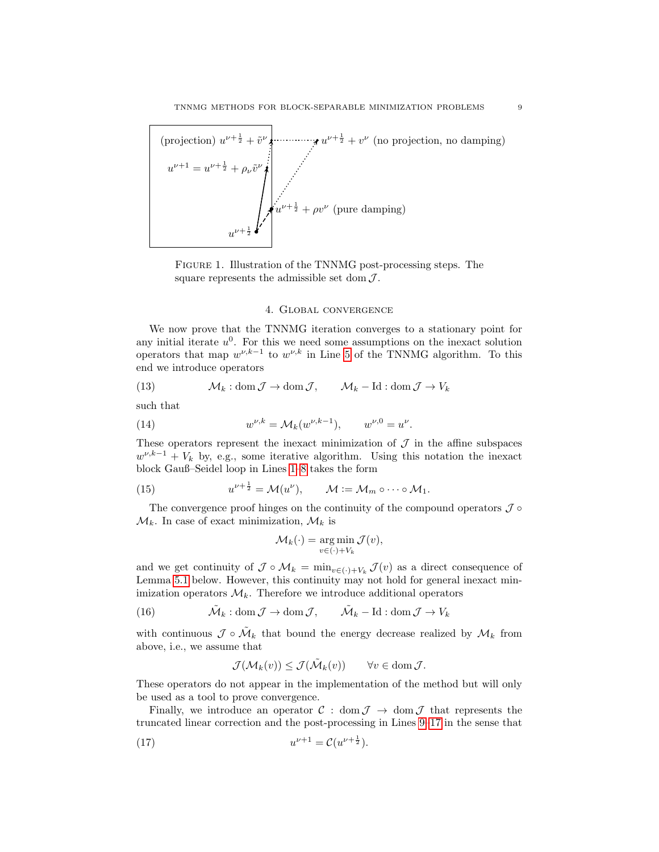

<span id="page-8-1"></span>Figure 1. Illustration of the TNNMG post-processing steps. The square represents the admissible set dom  $\mathcal{J}$ .

### 4. Global convergence

<span id="page-8-0"></span>We now prove that the TNNMG iteration converges to a stationary point for any initial iterate  $u^0$ . For this we need some assumptions on the inexact solution operators that map  $w^{\nu,k-1}$  to  $w^{\nu,k}$  in Line [5](#page-6-0) of the TNNMG algorithm. To this end we introduce operators

<span id="page-8-4"></span>(13) 
$$
\mathcal{M}_k : \text{dom}\,\mathcal{J} \to \text{dom}\,\mathcal{J}, \qquad \mathcal{M}_k - \text{Id} : \text{dom}\,\mathcal{J} \to V_k
$$

such that

<span id="page-8-6"></span>(14) 
$$
w^{\nu,k} = \mathcal{M}_k(w^{\nu,k-1}), \qquad w^{\nu,0} = u^{\nu}.
$$

These operators represent the inexact minimization of  $\mathcal J$  in the affine subspaces  $w^{\nu,k-1} + V_k$  by, e.g., some iterative algorithm. Using this notation the inexact block Gauß–Seidel loop in Lines [1–](#page-6-1)[8](#page-6-2) takes the form

<span id="page-8-2"></span>(15) 
$$
u^{\nu+\frac{1}{2}} = \mathcal{M}(u^{\nu}), \qquad \mathcal{M} := \mathcal{M}_m \circ \cdots \circ \mathcal{M}_1.
$$

The convergence proof hinges on the continuity of the compound operators  $\mathcal J \circ$  $\mathcal{M}_k$ . In case of exact minimization,  $\mathcal{M}_k$  is

$$
\mathcal{M}_k(\cdot) = \underset{v \in (\cdot) + V_k}{\arg \min} \mathcal{J}(v),
$$

and we get continuity of  $\mathcal J \circ \mathcal M_k = \min_{v \in (\cdot) + V_k} \mathcal J(v)$  as a direct consequence of Lemma [5.1](#page-10-1) below. However, this continuity may not hold for general inexact minimization operators  $\mathcal{M}_k$ . Therefore we introduce additional operators

<span id="page-8-5"></span>(16)  $\tilde{\mathcal{M}}_k : \text{dom}\,\mathcal{J} \to \text{dom}\,\mathcal{J}, \qquad \tilde{\mathcal{M}}_k - \text{Id} : \text{dom}\,\mathcal{J} \to V_k$ 

with continuous  $\mathcal{J} \circ \tilde{\mathcal{M}}_k$  that bound the energy decrease realized by  $\mathcal{M}_k$  from above, i.e., we assume that

$$
\mathcal{J}(\mathcal{M}_k(v)) \leq \mathcal{J}(\tilde{\mathcal{M}}_k(v)) \qquad \forall v \in \text{dom}\,\mathcal{J}.
$$

These operators do not appear in the implementation of the method but will only be used as a tool to prove convergence.

Finally, we introduce an operator  $\mathcal{C}$  : dom  $\mathcal{J} \to \text{dom } \mathcal{J}$  that represents the truncated linear correction and the post-processing in Lines [9–](#page-7-3)[17](#page-7-5) in the sense that

<span id="page-8-3"></span>(17) 
$$
u^{\nu+1} = \mathcal{C}(u^{\nu+\frac{1}{2}}).
$$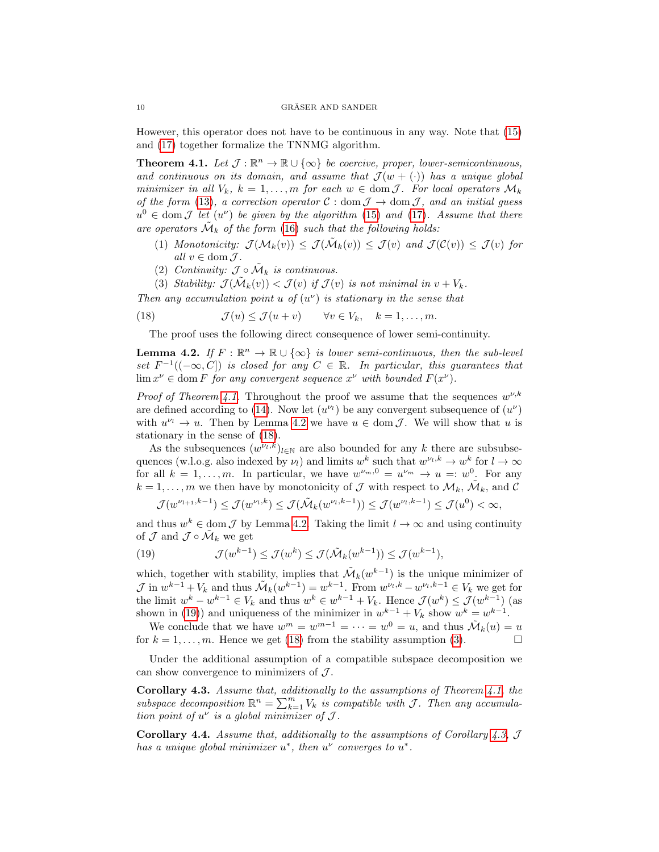However, this operator does not have to be continuous in any way. Note that [\(15\)](#page-8-2) and [\(17\)](#page-8-3) together formalize the TNNMG algorithm.

<span id="page-9-0"></span>**Theorem 4.1.** Let  $\mathcal{J} : \mathbb{R}^n \to \mathbb{R} \cup {\infty}$  be coercive, proper, lower-semicontinuous, and continuous on its domain, and assume that  $\mathcal{J}(w + (\cdot))$  has a unique global minimizer in all  $V_k$ ,  $k = 1, ..., m$  for each  $w \in \text{dom } \mathcal{J}$ . For local operators  $\mathcal{M}_k$ of the form [\(13\)](#page-8-4), a correction operator  $C : \text{dom } \mathcal{J} \to \text{dom } \mathcal{J}$ , and an initial guess  $u^0 \in \text{dom } \mathcal{J}$  let  $(u^{\nu})$  be given by the algorithm [\(15\)](#page-8-2) and [\(17\)](#page-8-3). Assume that there are operators  $\tilde{\mathcal{M}}_k$  of the form [\(16\)](#page-8-5) such that the following holds:

- (1) Monotonicity:  $\mathcal{J}(\mathcal{M}_k(v)) \leq \mathcal{J}(\tilde{\mathcal{M}}_k(v)) \leq \mathcal{J}(v)$  and  $\mathcal{J}(\mathcal{C}(v)) \leq \mathcal{J}(v)$  for all  $v \in \text{dom } \mathcal{J}$ .
- (2) Continuity:  $\mathcal{J} \circ \tilde{\mathcal{M}}_k$  is continuous.

<span id="page-9-4"></span>(3) Stability:  $\mathcal{J}(\tilde{\mathcal{M}}_k(v)) < \mathcal{J}(v)$  is not minimal in  $v + V_k$ .

Then any accumulation point u of  $(u^{\nu})$  is stationary in the sense that

<span id="page-9-2"></span>(18) 
$$
\mathcal{J}(u) \leq \mathcal{J}(u+v) \quad \forall v \in V_k, \quad k = 1, ..., m.
$$

The proof uses the following direct consequence of lower semi-continuity.

<span id="page-9-1"></span>**Lemma 4.2.** If  $F : \mathbb{R}^n \to \mathbb{R} \cup {\infty}$  is lower semi-continuous, then the sub-level set  $F^{-1}((-\infty, C])$  is closed for any  $C \in \mathbb{R}$ . In particular, this guarantees that  $\lim x^{\nu} \in \text{dom } F$  for any convergent sequence  $x^{\nu}$  with bounded  $F(x^{\nu})$ .

*Proof of Theorem [4.1.](#page-9-0)* Throughout the proof we assume that the sequences  $w^{\nu,k}$ are defined according to [\(14\)](#page-8-6). Now let  $(u^{\nu_l})$  be any convergent subsequence of  $(u^{\nu})$ with  $u^{\nu_l} \to u$ . Then by Lemma [4.2](#page-9-1) we have  $u \in \text{dom } \mathcal{J}$ . We will show that u is stationary in the sense of [\(18\)](#page-9-2).

As the subsequences  $(w^{\nu_l,k})_{l\in\mathbb{N}}$  are also bounded for any k there are subsubsequences (w.l.o.g. also indexed by  $\nu_l$ ) and limits  $w^k$  such that  $w^{\nu_l,k} \to w^k$  for  $l \to \infty$ for all  $k = 1, ..., m$ . In particular, we have  $w^{\nu_m, 0} = u^{\nu_m} \rightarrow u =: w^0$ . For any  $k = 1, \ldots, m$  we then have by monotonicity of  $\mathcal J$  with respect to  $\mathcal M_k$ ,  $\tilde{\mathcal M}_k$ , and  $\tilde{\mathcal C}$ 

$$
\mathcal{J}(w^{\nu_{l+1},k-1}) \leq \mathcal{J}(w^{\nu_{l},k}) \leq \mathcal{J}(\tilde{\mathcal{M}}_{k}(w^{\nu_{l},k-1})) \leq \mathcal{J}(w^{\nu_{l},k-1}) \leq \mathcal{J}(u^{0}) < \infty,
$$

and thus  $w^k \in \text{dom } \mathcal{J}$  by Lemma [4.2.](#page-9-1) Taking the limit  $l \to \infty$  and using continuity of  $\mathcal J$  and  $\mathcal J \circ \tilde{\mathcal M}_k$  we get

<span id="page-9-3"></span>(19) 
$$
\mathcal{J}(w^{k-1}) \leq \mathcal{J}(w^k) \leq \mathcal{J}(\tilde{\mathcal{M}}_k(w^{k-1})) \leq \mathcal{J}(w^{k-1}),
$$

which, together with stability, implies that  $\tilde{\mathcal{M}}_k(w^{k-1})$  is the unique minimizer of  $\mathcal{J}$  in  $w^{k-1} + V_k$  and thus  $\tilde{\mathcal{M}}_k(w^{k-1}) = w^{k-1}$ . From  $w^{\nu_l, k} - w^{\nu_l, k-1} \in V_k$  we get for the limit  $w^k - w^{k-1} \in V_k$  and thus  $w^k \in w^{k-1} + V_k$ . Hence  $\mathcal{J}(w^k) \leq \mathcal{J}(w^{k-1})$  (as shown in [\(19\)](#page-9-3)) and uniqueness of the minimizer in  $w^{k-1} + V_k$  show  $w^k = w^{k-1}$ .

We conclude that we have  $w^m = w^{m-1} = \cdots = w^0 = u$ , and thus  $\mathcal{M}_k(u) = u$ for  $k = 1, \ldots, m$ . Hence we get [\(18\)](#page-9-2) from the stability assumption [\(3\)](#page-9-4).

Under the additional assumption of a compatible subspace decomposition we can show convergence to minimizers of  $\mathcal{J}$ .

<span id="page-9-5"></span>**Corollary 4.3.** Assume that, additionally to the assumptions of Theorem [4.1,](#page-9-0) the subspace decomposition  $\mathbb{R}^n = \sum_{k=1}^m V_k$  is compatible with J. Then any accumulation point of  $u^{\nu}$  is a global minimizer of  $\mathcal{J}.$ 

<span id="page-9-6"></span>**Corollary 4.4.** Assume that, additionally to the assumptions of Corollary [4.3,](#page-9-5)  $\mathcal{J}$ has a unique global minimizer  $u^*$ , then  $u^{\nu}$  converges to  $u^*$ .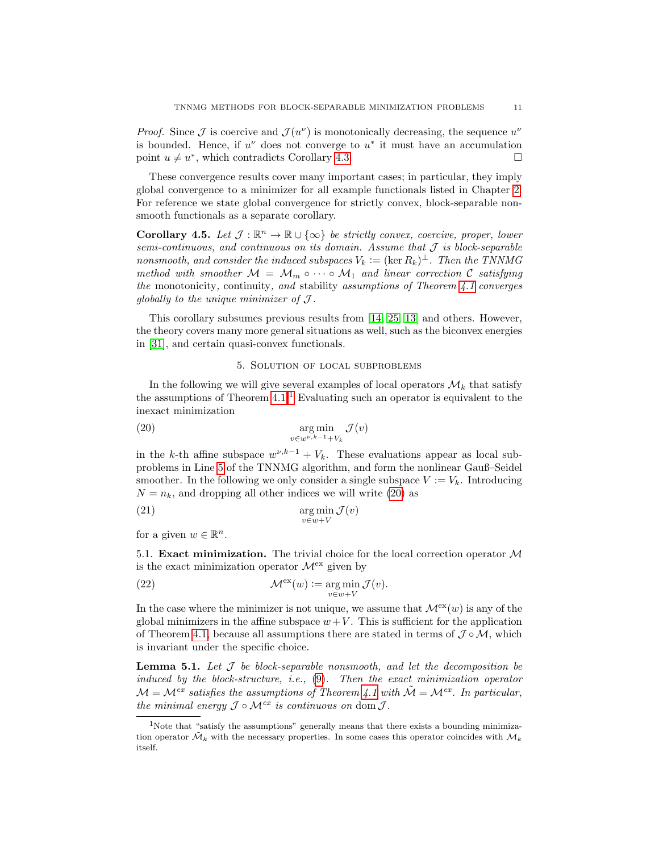*Proof.* Since  $\mathcal J$  is coercive and  $\mathcal J(u^{\nu})$  is monotonically decreasing, the sequence  $u^{\nu}$ is bounded. Hence, if  $u^{\nu}$  does not converge to  $u^*$  it must have an accumulation point  $u \neq u^*$ , which contradicts Corollary [4.3.](#page-9-5)

These convergence results cover many important cases; in particular, they imply global convergence to a minimizer for all example functionals listed in Chapter [2.](#page-2-0) For reference we state global convergence for strictly convex, block-separable nonsmooth functionals as a separate corollary.

**Corollary 4.5.** Let  $\mathcal{J}: \mathbb{R}^n \to \mathbb{R} \cup \{\infty\}$  be strictly convex, coercive, proper, lower semi-continuous, and continuous on its domain. Assume that  $\mathcal J$  is block-separable nonsmooth, and consider the induced subspaces  $V_k := (\ker R_k)^{\perp}$ . Then the TNNMG method with smoother  $M = M_m \circ \cdots \circ M_1$  and linear correction C satisfying the monotonicity, continuity, and stability assumptions of Theorem [4.1](#page-9-0) converges globally to the unique minimizer of  $\mathcal{J}$ .

This corollary subsumes previous results from [\[14,](#page-25-8) [25,](#page-26-2) [13\]](#page-25-9) and others. However, the theory covers many more general situations as well, such as the biconvex energies in [\[31\]](#page-26-8), and certain quasi-convex functionals.

# 5. Solution of local subproblems

<span id="page-10-0"></span>In the following we will give several examples of local operators  $\mathcal{M}_k$  that satisfy the assumptions of Theorem  $4.1<sup>1</sup>$  $4.1<sup>1</sup>$  $4.1<sup>1</sup>$  Evaluating such an operator is equivalent to the inexact minimization

<span id="page-10-3"></span>(20) 
$$
\underset{v \in w^{\nu,k-1} + V_k}{\arg \min} \mathcal{J}(v)
$$

in the k-th affine subspace  $w^{\nu,k-1} + V_k$ . These evaluations appear as local subproblems in Line [5](#page-6-0) of the TNNMG algorithm, and form the nonlinear Gauß–Seidel smoother. In the following we only consider a single subspace  $V := V_k$ . Introducing  $N = n_k$ , and dropping all other indices we will write [\(20\)](#page-10-3) as

<span id="page-10-5"></span>(21) 
$$
\underset{v \in w + V}{\arg \min} \mathcal{J}(v)
$$

for a given  $w \in \mathbb{R}^n$ .

5.1. **Exact minimization.** The trivial choice for the local correction operator  $M$ is the exact minimization operator  $\mathcal{M}^{\text{ex}}$  given by

<span id="page-10-4"></span>(22) 
$$
\mathcal{M}^{\text{ex}}(w) := \underset{v \in w + V}{\arg \min} \mathcal{J}(v).
$$

In the case where the minimizer is not unique, we assume that  $\mathcal{M}^{ex}(w)$  is any of the global minimizers in the affine subspace  $w + V$ . This is sufficient for the application of Theorem [4.1,](#page-9-0) because all assumptions there are stated in terms of  $J \circ M$ , which is invariant under the specific choice.

<span id="page-10-1"></span>**Lemma 5.1.** Let  $\mathcal J$  be block-separable nonsmooth, and let the decomposition be induced by the block-structure, i.e., [\(9\)](#page-4-1). Then the exact minimization operator  $\mathcal{M} = \mathcal{M}^{ex}$  satisfies the assumptions of Theorem [4.1](#page-9-0) with  $\tilde{\mathcal{M}} = \mathcal{M}^{ex}$ . In particular, the minimal energy  $\mathcal{J} \circ \mathcal{M}^{ex}$  is continuous on dom  $\mathcal{J}$ .

<span id="page-10-2"></span><sup>&</sup>lt;sup>1</sup>Note that "satisfy the assumptions" generally means that there exists a bounding minimization operator  $\tilde{\mathcal{M}}_k$  with the necessary properties. In some cases this operator coincides with  $\mathcal{M}_k$ itself.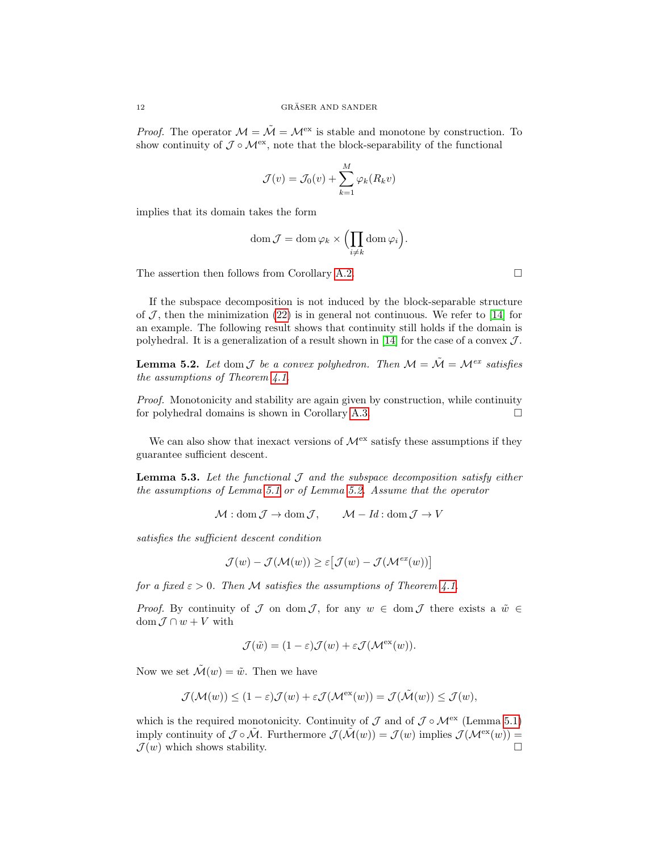*Proof.* The operator  $\mathcal{M} = \tilde{\mathcal{M}} = \mathcal{M}^{ex}$  is stable and monotone by construction. To show continuity of  $\mathcal{J} \circ \mathcal{M}^{\text{ex}}$ , note that the block-separability of the functional

$$
\mathcal{J}(v) = \mathcal{J}_0(v) + \sum_{k=1}^{M} \varphi_k(R_k v)
$$

implies that its domain takes the form

$$
\operatorname{dom} \mathcal{J} = \operatorname{dom} \varphi_k \times \Bigl(\prod_{i \neq k} \operatorname{dom} \varphi_i\Bigr).
$$

The assertion then follows from Corollary [A.2.](#page-24-0)  $\Box$ 

If the subspace decomposition is not induced by the block-separable structure of  $\mathcal{J}$ , then the minimization [\(22\)](#page-10-4) is in general not continuous. We refer to [\[14\]](#page-25-8) for an example. The following result shows that continuity still holds if the domain is polyhedral. It is a generalization of a result shown in [\[14\]](#page-25-8) for the case of a convex  $\mathcal{J}$ .

<span id="page-11-0"></span>**Lemma 5.2.** Let dom  $\mathcal{J}$  be a convex polyhedron. Then  $\mathcal{M} = \tilde{\mathcal{M}} = \mathcal{M}^{ex}$  satisfies the assumptions of Theorem [4.1.](#page-9-0)

Proof. Monotonicity and stability are again given by construction, while continuity for polyhedral domains is shown in Corollary [A.3.](#page-24-1)

We can also show that inexact versions of  $\mathcal{M}^{\text{ex}}$  satisfy these assumptions if they guarantee sufficient descent.

<span id="page-11-1"></span>**Lemma 5.3.** Let the functional  $\mathcal J$  and the subspace decomposition satisfy either the assumptions of Lemma [5.1](#page-10-1) or of Lemma [5.2.](#page-11-0) Assume that the operator

 $\mathcal{M} : \text{dom } \mathcal{J} \to \text{dom } \mathcal{J}, \qquad \mathcal{M} - Id : \text{dom } \mathcal{J} \to V$ 

satisfies the sufficient descent condition

$$
\mathcal{J}(w) - \mathcal{J}(\mathcal{M}(w)) \ge \varepsilon \big[ \mathcal{J}(w) - \mathcal{J}(\mathcal{M}^{ex}(w)) \big]
$$

for a fixed  $\varepsilon > 0$ . Then M satisfies the assumptions of Theorem [4.1.](#page-9-0)

*Proof.* By continuity of  $\mathcal J$  on dom  $\mathcal J$ , for any  $w \in \text{dom } \mathcal J$  there exists a  $\tilde w \in$ dom  $\mathcal{J} \cap w + V$  with

$$
\mathcal{J}(\tilde{w}) = (1 - \varepsilon)\mathcal{J}(w) + \varepsilon \mathcal{J}(\mathcal{M}^{\text{ex}}(w)).
$$

Now we set  $\mathcal{\tilde{M}}(w) = \tilde{w}$ . Then we have

$$
\mathcal{J}(\mathcal{M}(w)) \le (1 - \varepsilon)\mathcal{J}(w) + \varepsilon \mathcal{J}(\mathcal{M}^{\text{ex}}(w)) = \mathcal{J}(\tilde{\mathcal{M}}(w)) \le \mathcal{J}(w),
$$

which is the required monotonicity. Continuity of  $\mathcal J$  and of  $\mathcal J \circ \mathcal M^{\rm ex}$  (Lemma [5.1\)](#page-10-1) imply continuity of  $\mathcal{J} \circ \tilde{\mathcal{M}}$ . Furthermore  $\mathcal{J}(\tilde{\mathcal{M}}(w)) = \mathcal{J}(w)$  implies  $\mathcal{J}(\mathcal{M}^{\text{ex}}(w)) =$  $\mathcal{J}(w)$  which shows stability.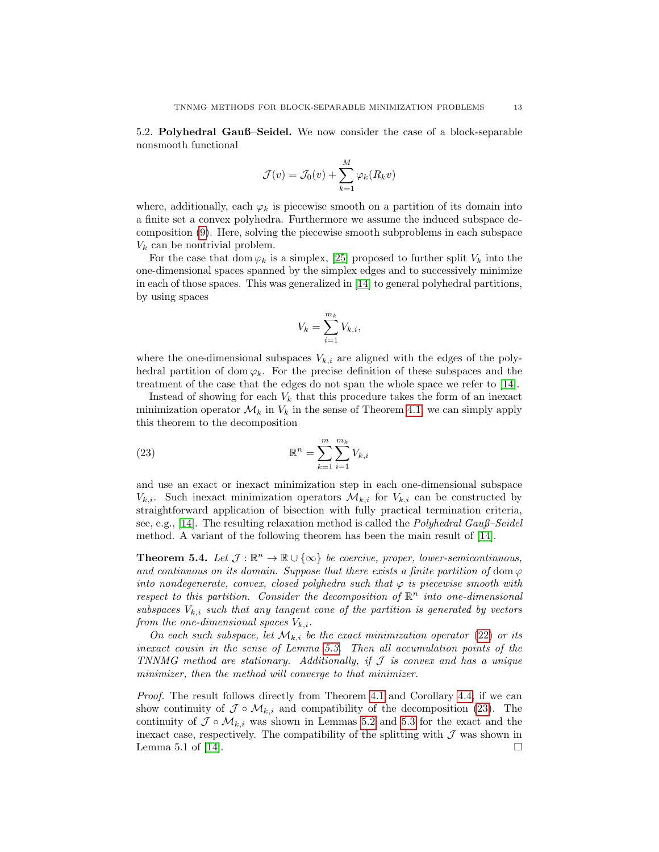5.2. Polyhedral Gauß–Seidel. We now consider the case of a block-separable nonsmooth functional

$$
\mathcal{J}(v) = \mathcal{J}_0(v) + \sum_{k=1}^{M} \varphi_k(R_k v)
$$

where, additionally, each  $\varphi_k$  is piecewise smooth on a partition of its domain into a finite set a convex polyhedra. Furthermore we assume the induced subspace decomposition [\(9\)](#page-4-1). Here, solving the piecewise smooth subproblems in each subspace  $V_k$  can be nontrivial problem.

For the case that dom  $\varphi_k$  is a simplex, [\[25\]](#page-26-2) proposed to further split  $V_k$  into the one-dimensional spaces spanned by the simplex edges and to successively minimize in each of those spaces. This was generalized in [\[14\]](#page-25-8) to general polyhedral partitions, by using spaces

$$
V_k = \sum_{i=1}^{m_k} V_{k,i},
$$

where the one-dimensional subspaces  $V_{k,i}$  are aligned with the edges of the polyhedral partition of dom  $\varphi_k$ . For the precise definition of these subspaces and the treatment of the case that the edges do not span the whole space we refer to [\[14\]](#page-25-8).

Instead of showing for each  $V_k$  that this procedure takes the form of an inexact minimization operator  $\mathcal{M}_k$  in  $V_k$  in the sense of Theorem [4.1,](#page-9-0) we can simply apply this theorem to the decomposition

<span id="page-12-0"></span>(23) 
$$
\mathbb{R}^{n} = \sum_{k=1}^{m} \sum_{i=1}^{m_{k}} V_{k,i}
$$

and use an exact or inexact minimization step in each one-dimensional subspace  $V_{k,i}$ . Such inexact minimization operators  $\mathcal{M}_{k,i}$  for  $V_{k,i}$  can be constructed by straightforward application of bisection with fully practical termination criteria, see, e.g., [\[14\]](#page-25-8). The resulting relaxation method is called the *Polyhedral Gauß–Seidel* method. A variant of the following theorem has been the main result of [\[14\]](#page-25-8).

**Theorem 5.4.** Let  $\mathcal{J} : \mathbb{R}^n \to \mathbb{R} \cup {\infty}$  be coercive, proper, lower-semicontinuous, and continuous on its domain. Suppose that there exists a finite partition of dom  $\varphi$ into nondegenerate, convex, closed polyhedra such that  $\varphi$  is piecewise smooth with respect to this partition. Consider the decomposition of  $\mathbb{R}^n$  into one-dimensional subspaces  $V_{k,i}$  such that any tangent cone of the partition is generated by vectors from the one-dimensional spaces  $V_{k,i}$ .

On each such subspace, let  $\mathcal{M}_{k,i}$  be the exact minimization operator [\(22\)](#page-10-4) or its inexact cousin in the sense of Lemma [5.3.](#page-11-1) Then all accumulation points of the TNNMG method are stationary. Additionally, if  $J$  is convex and has a unique minimizer, then the method will converge to that minimizer.

Proof. The result follows directly from Theorem [4.1](#page-9-0) and Corollary [4.4,](#page-9-6) if we can show continuity of  $\mathcal{J} \circ \mathcal{M}_{k,i}$  and compatibility of the decomposition [\(23\)](#page-12-0). The continuity of  $\mathcal{J} \circ \mathcal{M}_{k,i}$  was shown in Lemmas [5.2](#page-11-0) and [5.3](#page-11-1) for the exact and the inexact case, respectively. The compatibility of the splitting with  $\mathcal J$  was shown in Lemma 5.1 of [\[14\]](#page-25-8).  $\Box$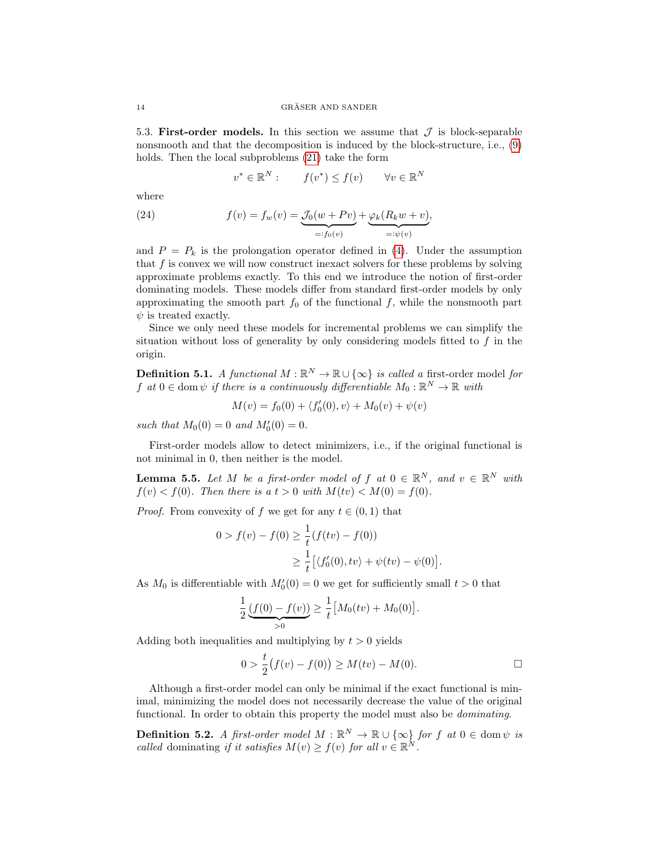5.3. First-order models. In this section we assume that  $\mathcal J$  is block-separable nonsmooth and that the decomposition is induced by the block-structure, i.e., [\(9\)](#page-4-1) holds. Then the local subproblems [\(21\)](#page-10-5) take the form

$$
v^* \in \mathbb{R}^N : \qquad f(v^*) \le f(v) \qquad \forall v \in \mathbb{R}^N
$$

where

<span id="page-13-0"></span>(24) 
$$
f(v) = f_w(v) = \underbrace{J_0(w + Pv)}_{=: f_0(v)} + \underbrace{\varphi_k(R_kw + v)}_{=: \psi(v)},
$$

and  $P = P_k$  is the prolongation operator defined in [\(4\)](#page-2-3). Under the assumption that  $f$  is convex we will now construct inexact solvers for these problems by solving approximate problems exactly. To this end we introduce the notion of first-order dominating models. These models differ from standard first-order models by only approximating the smooth part  $f_0$  of the functional f, while the nonsmooth part  $\psi$  is treated exactly.

Since we only need these models for incremental problems we can simplify the situation without loss of generality by only considering models fitted to  $f$  in the origin.

**Definition 5.1.** A functional  $M : \mathbb{R}^N \to \mathbb{R} \cup {\infty}$  is called a first-order model for f at  $0 \in \text{dom } \psi$  if there is a continuously differentiable  $M_0 : \mathbb{R}^N \to \mathbb{R}$  with

$$
M(v) = f_0(0) + \langle f'_0(0), v \rangle + M_0(v) + \psi(v)
$$

such that  $M_0(0) = 0$  and  $M'_0(0) = 0$ .

First-order models allow to detect minimizers, i.e., if the original functional is not minimal in 0, then neither is the model.

<span id="page-13-1"></span>**Lemma 5.5.** Let M be a first-order model of f at  $0 \in \mathbb{R}^N$ , and  $v \in \mathbb{R}^N$  with  $f(v) < f(0)$ . Then there is a  $t > 0$  with  $M(tv) < M(0) = f(0)$ .

*Proof.* From convexity of f we get for any  $t \in (0,1)$  that

$$
0 > f(v) - f(0) \ge \frac{1}{t} (f(tv) - f(0))
$$
  
 
$$
\ge \frac{1}{t} [(f'_0(0), tv) + \psi(tv) - \psi(0)].
$$

As  $M_0$  is differentiable with  $M'_0(0) = 0$  we get for sufficiently small  $t > 0$  that

$$
\frac{1}{2} \underbrace{(f(0) - f(v))}_{>0} \geq \frac{1}{t} \big[ M_0(tv) + M_0(0) \big].
$$

Adding both inequalities and multiplying by  $t > 0$  yields

$$
0 > \frac{t}{2}(f(v) - f(0)) \ge M(tv) - M(0).
$$

Although a first-order model can only be minimal if the exact functional is minimal, minimizing the model does not necessarily decrease the value of the original functional. In order to obtain this property the model must also be *dominating*.

**Definition 5.2.** A first-order model  $M : \mathbb{R}^N \to \mathbb{R} \cup {\infty}$  for f at  $0 \in \text{dom } \psi$  is called dominating if it satisfies  $M(v) \ge f(v)$  for all  $v \in \mathbb{R}^N$ .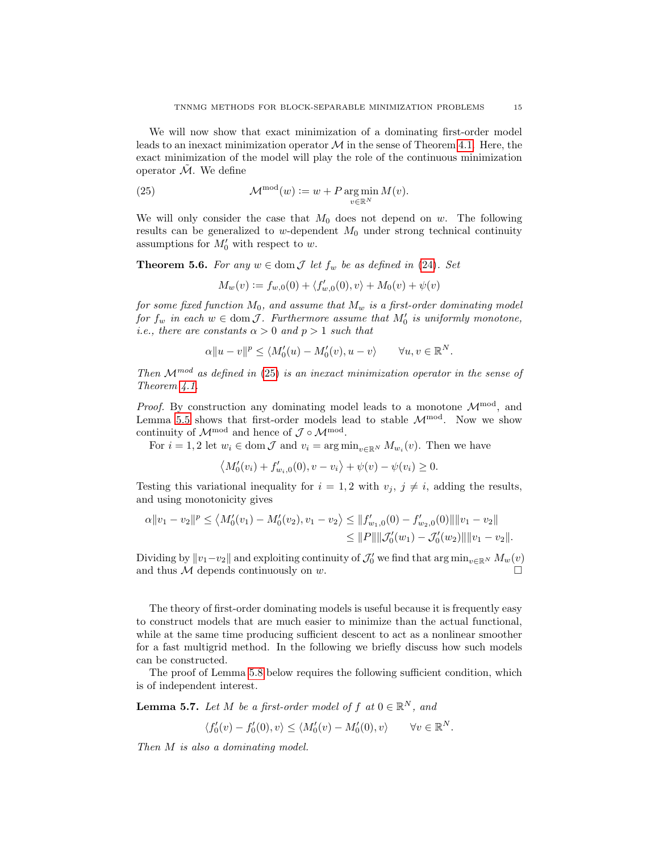We will now show that exact minimization of a dominating first-order model leads to an inexact minimization operator  $\mathcal M$  in the sense of Theorem [4.1.](#page-9-0) Here, the exact minimization of the model will play the role of the continuous minimization operator  $\tilde{\mathcal{M}}$ . We define

<span id="page-14-0"></span>(25) 
$$
\mathcal{M}^{\text{mod}}(w) := w + P \operatorname*{arg\,min}_{v \in \mathbb{R}^N} M(v).
$$

We will only consider the case that  $M_0$  does not depend on w. The following results can be generalized to w-dependent  $M_0$  under strong technical continuity assumptions for  $M'_0$  with respect to w.

**Theorem 5.6.** For any  $w \in \text{dom } \mathcal{J}$  let  $f_w$  be as defined in [\(24\)](#page-13-0). Set

$$
M_w(v) := f_{w,0}(0) + \langle f'_{w,0}(0), v \rangle + M_0(v) + \psi(v)
$$

for some fixed function  $M_0$ , and assume that  $M_w$  is a first-order dominating model for  $f_w$  in each  $w \in \text{dom } \mathcal{J}$ . Furthermore assume that  $M'_0$  is uniformly monotone, *i.e.*, there are constants  $\alpha > 0$  and  $p > 1$  such that

$$
\alpha \|u - v\|^p \le \langle M'_0(u) - M'_0(v), u - v \rangle \qquad \forall u, v \in \mathbb{R}^N.
$$

Then  $\mathcal{M}^{mod}$  as defined in [\(25\)](#page-14-0) is an inexact minimization operator in the sense of Theorem [4.1.](#page-9-0)

*Proof.* By construction any dominating model leads to a monotone  $\mathcal{M}^{\text{mod}}$ , and Lemma [5.5](#page-13-1) shows that first-order models lead to stable  $\mathcal{M}^{\rm mod}$ . Now we show continuity of  $\mathcal{M}^{\text{mod}}$  and hence of  $\mathcal{J} \circ \mathcal{M}^{\text{mod}}$ .

For  $i = 1, 2$  let  $w_i \in \text{dom } \mathcal{J}$  and  $v_i = \arg \min_{v \in \mathbb{R}^N} M_{w_i}(v)$ . Then we have

 $\langle M'_0(v_i) + f'_{w_i,0}(0), v - v_i \rangle + \psi(v) - \psi(v_i) \ge 0.$ 

Testing this variational inequality for  $i = 1, 2$  with  $v_j, j \neq i$ , adding the results, and using monotonicity gives

$$
\alpha \|v_1 - v_2\|^p \le \langle M'_0(v_1) - M'_0(v_2), v_1 - v_2 \rangle \le \|f'_{w_1,0}(0) - f'_{w_2,0}(0)\| \|v_1 - v_2\|
$$
  

$$
\le \|P\| \|\mathcal{J}'_0(w_1) - \mathcal{J}'_0(w_2)\| \|v_1 - v_2\|.
$$

Dividing by  $||v_1-v_2||$  and exploiting continuity of  $\mathcal{J}'_0$  we find that  $\arg \min_{v \in \mathbb{R}^N} M_w(v)$ and thus  $M$  depends continuously on  $w$ .

The theory of first-order dominating models is useful because it is frequently easy to construct models that are much easier to minimize than the actual functional, while at the same time producing sufficient descent to act as a nonlinear smoother for a fast multigrid method. In the following we briefly discuss how such models can be constructed.

The proof of Lemma [5.8](#page-15-0) below requires the following sufficient condition, which is of independent interest.

<span id="page-14-1"></span>**Lemma 5.7.** Let M be a first-order model of f at  $0 \in \mathbb{R}^N$ , and

$$
\langle f_0'(v) - f_0'(0), v \rangle \le \langle M_0'(v) - M_0'(0), v \rangle \qquad \forall v \in \mathbb{R}^N.
$$

Then M is also a dominating model.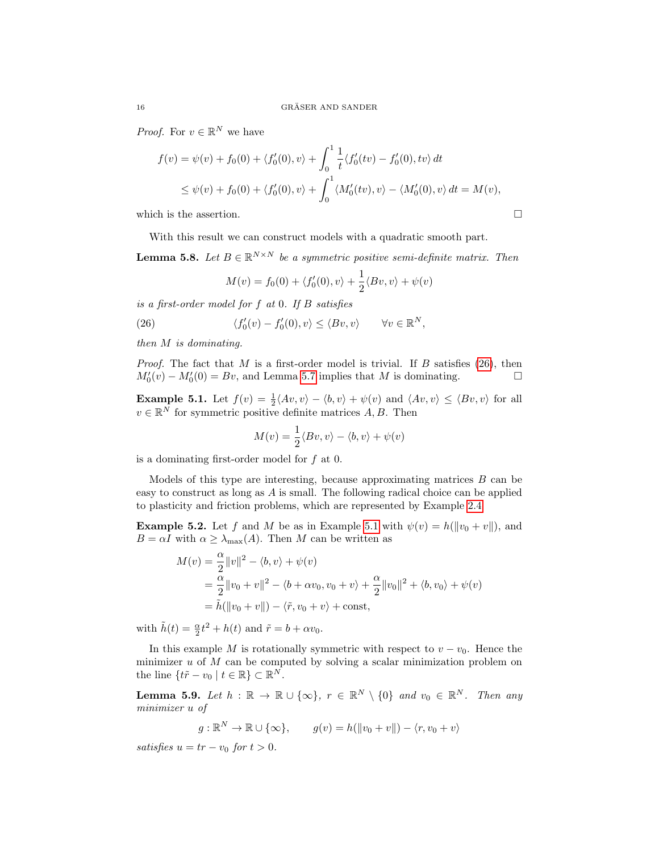*Proof.* For  $v \in \mathbb{R}^N$  we have

$$
f(v) = \psi(v) + f_0(0) + \langle f'_0(0), v \rangle + \int_0^1 \frac{1}{t} \langle f'_0(tv) - f'_0(0), tv \rangle dt
$$
  
\$\leq \psi(v) + f\_0(0) + \langle f'\_0(0), v \rangle + \int\_0^1 \langle M'\_0(tv), v \rangle - \langle M'\_0(0), v \rangle dt = M(v),

which is the assertion.  $\hfill \square$ 

With this result we can construct models with a quadratic smooth part.

<span id="page-15-0"></span>**Lemma 5.8.** Let  $B \in \mathbb{R}^{N \times N}$  be a symmetric positive semi-definite matrix. Then

$$
M(v) = f_0(0) + \langle f'_0(0), v \rangle + \frac{1}{2} \langle Bv, v \rangle + \psi(v)
$$

is a first-order model for f at 0. If B satisfies

<span id="page-15-1"></span>(26) 
$$
\langle f'_0(v) - f'_0(0), v \rangle \le \langle Bv, v \rangle \quad \forall v \in \mathbb{R}^N,
$$

then M is dominating.

*Proof.* The fact that M is a first-order model is trivial. If B satisfies  $(26)$ , then  $M'_0(v) - M'_0(0) = Bv$ , and Lemma [5.7](#page-14-1) implies that M is dominating.

<span id="page-15-2"></span>**Example 5.1.** Let  $f(v) = \frac{1}{2} \langle Av, v \rangle - \langle b, v \rangle + \psi(v)$  and  $\langle Av, v \rangle \leq \langle Bv, v \rangle$  for all  $v \in \mathbb{R}^N$  for symmetric positive definite matrices A, B. Then

$$
M(v) = \frac{1}{2} \langle Bv, v \rangle - \langle b, v \rangle + \psi(v)
$$

is a dominating first-order model for f at 0.

Models of this type are interesting, because approximating matrices  $B$  can be easy to construct as long as A is small. The following radical choice can be applied to plasticity and friction problems, which are represented by Example [2.4.](#page-5-1)

<span id="page-15-3"></span>**Example 5.2.** Let f and M be as in Example [5.1](#page-15-2) with  $\psi(v) = h(||v_0 + v||)$ , and  $B = \alpha I$  with  $\alpha \geq \lambda_{\text{max}}(A)$ . Then M can be written as

$$
M(v) = \frac{\alpha}{2} ||v||^2 - \langle b, v \rangle + \psi(v)
$$
  
=  $\frac{\alpha}{2} ||v_0 + v||^2 - \langle b + \alpha v_0, v_0 + v \rangle + \frac{\alpha}{2} ||v_0||^2 + \langle b, v_0 \rangle + \psi(v)$   
=  $\tilde{h} (||v_0 + v||) - \langle \tilde{r}, v_0 + v \rangle + \text{const},$ 

with  $\tilde{h}(t) = \frac{\alpha}{2}t^2 + h(t)$  and  $\tilde{r} = b + \alpha v_0$ .

In this example M is rotationally symmetric with respect to  $v - v_0$ . Hence the minimizer  $u$  of  $M$  can be computed by solving a scalar minimization problem on the line  $\{t\tilde{r} - v_0 \mid t \in \mathbb{R}\}\subset \mathbb{R}^N$ .

**Lemma 5.9.** Let  $h : \mathbb{R} \to \mathbb{R} \cup \{\infty\}$ ,  $r \in \mathbb{R}^N \setminus \{0\}$  and  $v_0 \in \mathbb{R}^N$ . Then any minimizer u of

$$
g: \mathbb{R}^N \to \mathbb{R} \cup {\infty}
$$
,  $g(v) = h(||v_0 + v||) - \langle r, v_0 + v \rangle$ 

satisfies  $u = tr - v_0$  for  $t > 0$ .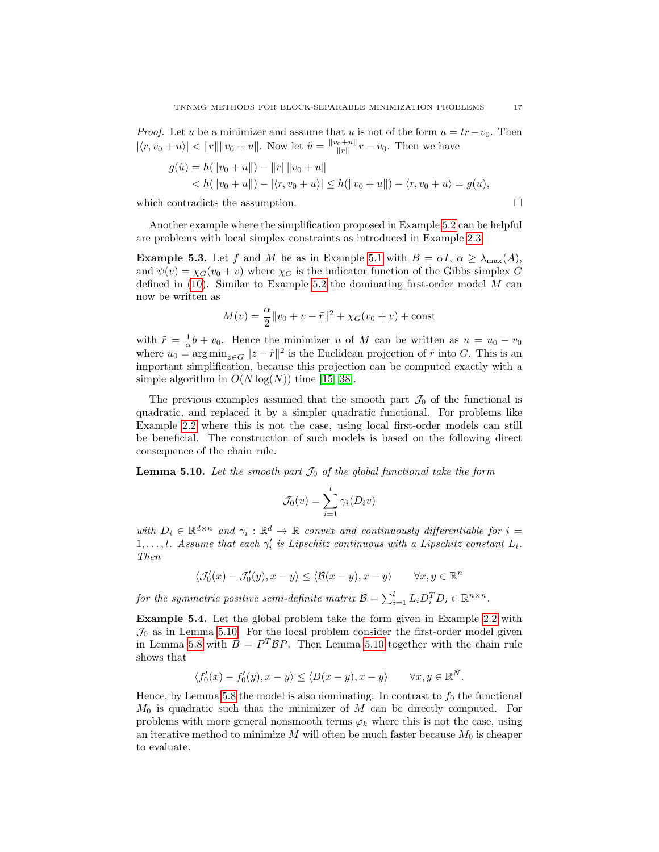*Proof.* Let u be a minimizer and assume that u is not of the form  $u = tr - v_0$ . Then  $|\langle r, v_0 + u \rangle| < ||r|| ||v_0 + u||$ . Now let  $\tilde{u} = \frac{||v_0 + u||}{||r||} r - v_0$ . Then we have

$$
g(\tilde{u}) = h(||v_0 + u||) - ||r|| ||v_0 + u||
$$
  

$$
< h(||v_0 + u||) - |\langle r, v_0 + u \rangle| \le h(||v_0 + u||) - \langle r, v_0 + u \rangle = g(u),
$$

which contradicts the assumption.  $\Box$ 

Another example where the simplification proposed in Example [5.2](#page-15-3) can be helpful are problems with local simplex constraints as introduced in Example [2.3.](#page-5-2)

<span id="page-16-1"></span>**Example 5.3.** Let f and M be as in Example [5.1](#page-15-2) with  $B = \alpha I$ ,  $\alpha \geq \lambda_{\text{max}}(A)$ , and  $\psi(v) = \chi_G(v_0 + v)$  where  $\chi_G$  is the indicator function of the Gibbs simplex G defined in  $(10)$ . Similar to Example [5.2](#page-15-3) the dominating first-order model M can now be written as

$$
M(v) = \frac{\alpha}{2} ||v_0 + v - \tilde{r}||^2 + \chi_G(v_0 + v) + \text{const}
$$

with  $\tilde{r} = \frac{1}{\alpha}b + v_0$ . Hence the minimizer u of M can be written as  $u = u_0 - v_0$ where  $u_0 = \arg \min_{z \in G} ||z - \tilde{r}||^2$  is the Euclidean projection of  $\tilde{r}$  into G. This is an important simplification, because this projection can be computed exactly with a simple algorithm in  $O(N \log(N))$  time [\[15,](#page-25-10) [38\]](#page-26-9).

The previous examples assumed that the smooth part  $\mathcal{J}_0$  of the functional is quadratic, and replaced it by a simpler quadratic functional. For problems like Example [2.2](#page-4-2) where this is not the case, using local first-order models can still be beneficial. The construction of such models is based on the following direct consequence of the chain rule.

<span id="page-16-0"></span>**Lemma 5.10.** Let the smooth part  $\mathcal{J}_0$  of the global functional take the form

$$
\mathcal{J}_0(v) = \sum_{i=1}^l \gamma_i(D_i v)
$$

with  $D_i \in \mathbb{R}^{d \times n}$  and  $\gamma_i : \mathbb{R}^d \to \mathbb{R}$  convex and continuously differentiable for  $i =$  $1, \ldots, l$ . Assume that each  $\gamma_i'$  is Lipschitz continuous with a Lipschitz constant  $L_i$ . Then

$$
\langle \mathcal{J}_0'(x) - \mathcal{J}_0'(y), x - y \rangle \le \langle \mathcal{B}(x - y), x - y \rangle \qquad \forall x, y \in \mathbb{R}^n
$$

for the symmetric positive semi-definite matrix  $\mathcal{B} = \sum_{i=1}^{l} L_i D_i^T D_i \in \mathbb{R}^{n \times n}$ .

<span id="page-16-2"></span>Example 5.4. Let the global problem take the form given in Example [2.2](#page-4-2) with  $\mathcal{J}_0$  as in Lemma [5.10.](#page-16-0) For the local problem consider the first-order model given in Lemma [5.8](#page-15-0) with  $B = P^T \mathcal{B} P$ . Then Lemma [5.10](#page-16-0) together with the chain rule shows that

$$
\langle f_0'(x) - f_0'(y), x - y \rangle \le \langle B(x - y), x - y \rangle \quad \forall x, y \in \mathbb{R}^N.
$$

Hence, by Lemma [5.8](#page-15-0) the model is also dominating. In contrast to  $f_0$  the functional  $M_0$  is quadratic such that the minimizer of M can be directly computed. For problems with more general nonsmooth terms  $\varphi_k$  where this is not the case, using an iterative method to minimize M will often be much faster because  $M_0$  is cheaper to evaluate.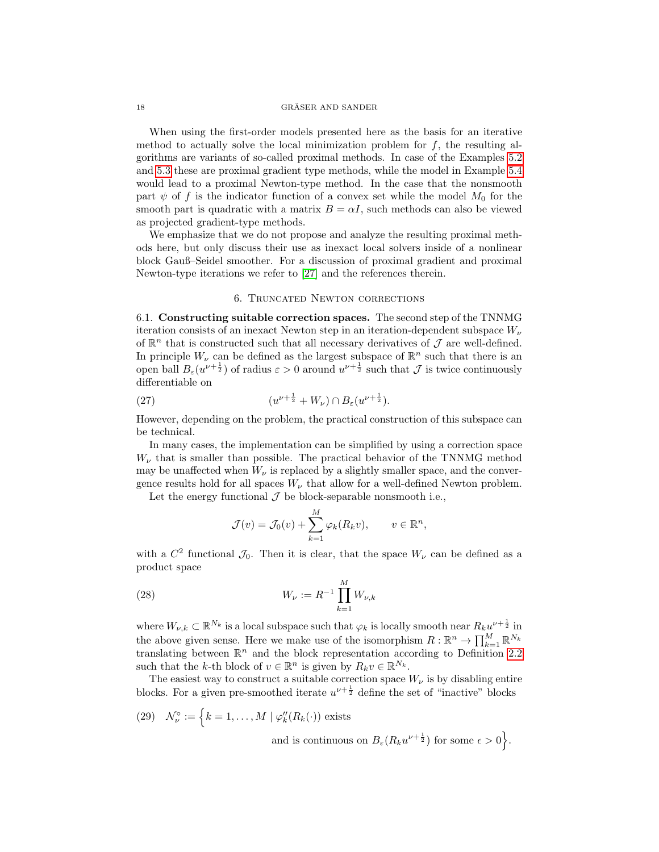#### $\begin{array}{ll} \text{GRÄSER AND SAMPLER} \end{array}$

When using the first-order models presented here as the basis for an iterative method to actually solve the local minimization problem for  $f$ , the resulting algorithms are variants of so-called proximal methods. In case of the Examples [5.2](#page-15-3) and [5.3](#page-16-1) these are proximal gradient type methods, while the model in Example [5.4](#page-16-2) would lead to a proximal Newton-type method. In the case that the nonsmooth part  $\psi$  of f is the indicator function of a convex set while the model  $M_0$  for the smooth part is quadratic with a matrix  $B = \alpha I$ , such methods can also be viewed as projected gradient-type methods.

We emphasize that we do not propose and analyze the resulting proximal methods here, but only discuss their use as inexact local solvers inside of a nonlinear block Gauß–Seidel smoother. For a discussion of proximal gradient and proximal Newton-type iterations we refer to [\[27\]](#page-26-10) and the references therein.

### 6. Truncated Newton corrections

<span id="page-17-0"></span>6.1. Constructing suitable correction spaces. The second step of the TNNMG iteration consists of an inexact Newton step in an iteration-dependent subspace  $W_{\nu}$ of  $\mathbb{R}^n$  that is constructed such that all necessary derivatives of  $\mathcal J$  are well-defined. In principle  $W_{\nu}$  can be defined as the largest subspace of  $\mathbb{R}^{n}$  such that there is an open ball  $B_{\varepsilon}(u^{\nu+\frac{1}{2}})$  of radius  $\varepsilon > 0$  around  $u^{\nu+\frac{1}{2}}$  such that  $\mathcal J$  is twice continuously differentiable on

<span id="page-17-1"></span>(27) 
$$
(u^{\nu+\frac{1}{2}} + W_{\nu}) \cap B_{\varepsilon}(u^{\nu+\frac{1}{2}}).
$$

However, depending on the problem, the practical construction of this subspace can be technical.

In many cases, the implementation can be simplified by using a correction space  $W_{\nu}$  that is smaller than possible. The practical behavior of the TNNMG method may be unaffected when  $W_{\nu}$  is replaced by a slightly smaller space, and the convergence results hold for all spaces  $W_{\nu}$  that allow for a well-defined Newton problem.

Let the energy functional  $\mathcal J$  be block-separable nonsmooth i.e.,

<span id="page-17-3"></span>
$$
\mathcal{J}(v) = \mathcal{J}_0(v) + \sum_{k=1}^M \varphi_k(R_k v), \qquad v \in \mathbb{R}^n,
$$

with a  $C^2$  functional  $\mathcal{J}_0$ . Then it is clear, that the space  $W_\nu$  can be defined as a product space

(28) 
$$
W_{\nu} := R^{-1} \prod_{k=1}^{M} W_{\nu,k}
$$

where  $W_{\nu,k}\subset\mathbb{R}^{N_k}$  is a local subspace such that  $\varphi_k$  is locally smooth near  $R_ku^{\nu+\frac{1}{2}}$  in the above given sense. Here we make use of the isomorphism  $R: \mathbb{R}^n \to \prod_{k=1}^M \mathbb{R}^{N_k}$ translating between  $\mathbb{R}^n$  and the block representation according to Definition [2.2](#page-3-4) such that the k-th block of  $v \in \mathbb{R}^n$  is given by  $R_k v \in \mathbb{R}^{N_k}$ .

The easiest way to construct a suitable correction space  $W_{\nu}$  is by disabling entire blocks. For a given pre-smoothed iterate  $u^{\nu+\frac{1}{2}}$  define the set of "inactive" blocks

<span id="page-17-2"></span>(29) 
$$
\mathcal{N}_{\nu}^{\circ} := \left\{ k = 1, ..., M \mid \varphi_{k}''(R_{k}(\cdot)) \text{ exists} \right\}
$$
  
and is continuous on  $B_{\varepsilon}(R_{k}u^{\nu+\frac{1}{2}})$  for some  $\epsilon > 0$ .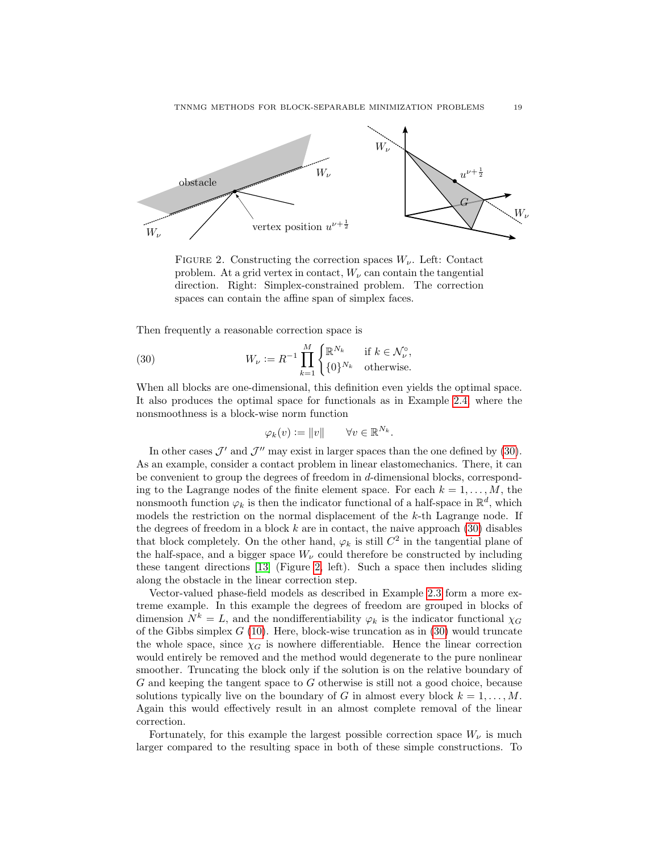

<span id="page-18-1"></span>FIGURE 2. Constructing the correction spaces  $W_{\nu}$ . Left: Contact problem. At a grid vertex in contact,  $W_{\nu}$  can contain the tangential direction. Right: Simplex-constrained problem. The correction spaces can contain the affine span of simplex faces.

Then frequently a reasonable correction space is

(30) 
$$
W_{\nu} := R^{-1} \prod_{k=1}^{M} \begin{cases} \mathbb{R}^{N_k} & \text{if } k \in \mathcal{N}_{\nu}^{\circ}, \\ \{0\}^{N_k} & \text{otherwise.} \end{cases}
$$

When all blocks are one-dimensional, this definition even yields the optimal space. It also produces the optimal space for functionals as in Example [2.4,](#page-5-1) where the nonsmoothness is a block-wise norm function

<span id="page-18-0"></span>
$$
\varphi_k(v) := \|v\| \qquad \forall v \in \mathbb{R}^{N_k}.
$$

In other cases  $\mathcal{J}'$  and  $\mathcal{J}''$  may exist in larger spaces than the one defined by [\(30\)](#page-18-0). As an example, consider a contact problem in linear elastomechanics. There, it can be convenient to group the degrees of freedom in d-dimensional blocks, corresponding to the Lagrange nodes of the finite element space. For each  $k = 1, \ldots, M$ , the nonsmooth function  $\varphi_k$  is then the indicator functional of a half-space in  $\mathbb{R}^d$ , which models the restriction on the normal displacement of the k-th Lagrange node. If the degrees of freedom in a block  $k$  are in contact, the naive approach  $(30)$  disables that block completely. On the other hand,  $\varphi_k$  is still  $C^2$  in the tangential plane of the half-space, and a bigger space  $W_{\nu}$  could therefore be constructed by including these tangent directions [\[13\]](#page-25-9) (Figure [2,](#page-18-1) left). Such a space then includes sliding along the obstacle in the linear correction step.

Vector-valued phase-field models as described in Example [2.3](#page-5-2) form a more extreme example. In this example the degrees of freedom are grouped in blocks of dimension  $N^k = L$ , and the nondifferentiability  $\varphi_k$  is the indicator functional  $\chi_G$ of the Gibbs simplex  $G(10)$  $G(10)$ . Here, block-wise truncation as in [\(30\)](#page-18-0) would truncate the whole space, since  $\chi_G$  is nowhere differentiable. Hence the linear correction would entirely be removed and the method would degenerate to the pure nonlinear smoother. Truncating the block only if the solution is on the relative boundary of G and keeping the tangent space to G otherwise is still not a good choice, because solutions typically live on the boundary of G in almost every block  $k = 1, \ldots, M$ . Again this would effectively result in an almost complete removal of the linear correction.

Fortunately, for this example the largest possible correction space  $W_{\nu}$  is much larger compared to the resulting space in both of these simple constructions. To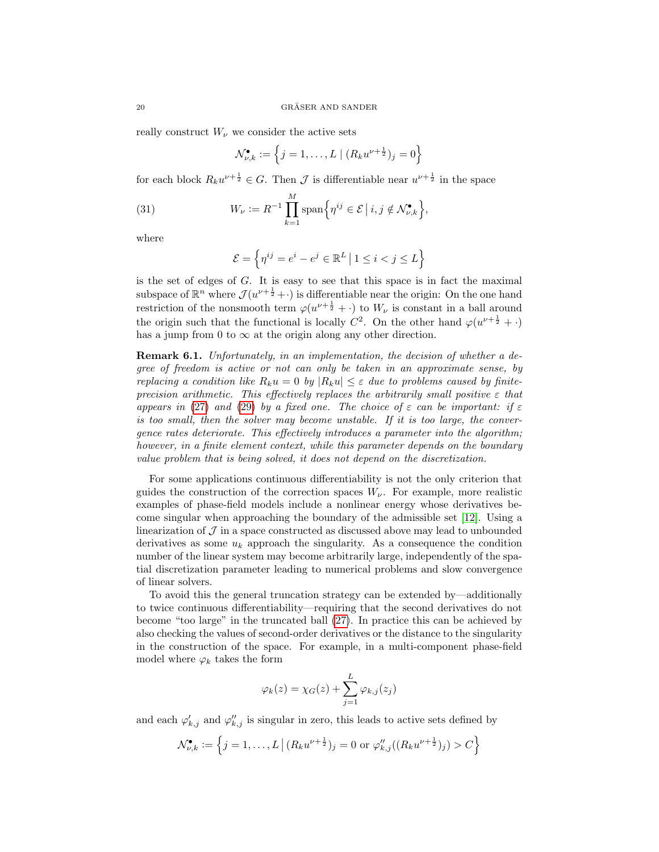really construct  $W_{\nu}$  we consider the active sets

$$
\mathcal{N}_{\nu,k}^{\bullet} := \left\{ j = 1, \ldots, L \mid (R_k u^{\nu + \frac{1}{2}})_j = 0 \right\}
$$

for each block  $R_k u^{\nu + \frac{1}{2}} \in G$ . Then  $\mathcal J$  is differentiable near  $u^{\nu + \frac{1}{2}}$  in the space

<span id="page-19-0"></span>(31) 
$$
W_{\nu} := R^{-1} \prod_{k=1}^{M} \text{span}\Big\{\eta^{ij} \in \mathcal{E} \, \big| \, i, j \notin \mathcal{N}_{\nu,k}^{\bullet} \Big\},\
$$

where

$$
\mathcal{E} = \left\{ \eta^{ij} = e^i - e^j \in \mathbb{R}^L \, \big| \, 1 \leq i < j \leq L \right\}
$$

is the set of edges of  $G$ . It is easy to see that this space is in fact the maximal subspace of  $\mathbb{R}^n$  where  $\mathcal{J}(u^{\nu+\frac{1}{2}}+)$  is differentiable near the origin: On the one hand restriction of the nonsmooth term  $\varphi(u^{\nu+\frac{1}{2}} + \cdot)$  to  $W_{\nu}$  is constant in a ball around the origin such that the functional is locally  $C^2$ . On the other hand  $\varphi(u^{\nu+\frac{1}{2}} + \cdot)$ has a jump from 0 to  $\infty$  at the origin along any other direction.

Remark 6.1. Unfortunately, in an implementation, the decision of whether a degree of freedom is active or not can only be taken in an approximate sense, by replacing a condition like  $R_k u = 0$  by  $|R_k u| \leq \varepsilon$  due to problems caused by finiteprecision arithmetic. This effectively replaces the arbitrarily small positive  $\varepsilon$  that appears in [\(27\)](#page-17-1) and [\(29\)](#page-17-2) by a fixed one. The choice of  $\varepsilon$  can be important: if  $\varepsilon$ is too small, then the solver may become unstable. If it is too large, the convergence rates deteriorate. This effectively introduces a parameter into the algorithm; however, in a finite element context, while this parameter depends on the boundary value problem that is being solved, it does not depend on the discretization.

For some applications continuous differentiability is not the only criterion that guides the construction of the correction spaces  $W_{\nu}$ . For example, more realistic examples of phase-field models include a nonlinear energy whose derivatives become singular when approaching the boundary of the admissible set [\[12\]](#page-25-22). Using a linearization of  $\mathcal J$  in a space constructed as discussed above may lead to unbounded derivatives as some  $u_k$  approach the singularity. As a consequence the condition number of the linear system may become arbitrarily large, independently of the spatial discretization parameter leading to numerical problems and slow convergence of linear solvers.

To avoid this the general truncation strategy can be extended by—additionally to twice continuous differentiability—requiring that the second derivatives do not become "too large" in the truncated ball [\(27\)](#page-17-1). In practice this can be achieved by also checking the values of second-order derivatives or the distance to the singularity in the construction of the space. For example, in a multi-component phase-field model where  $\varphi_k$  takes the form

$$
\varphi_k(z) = \chi_G(z) + \sum_{j=1}^L \varphi_{k,j}(z_j)
$$

and each  $\varphi'_{k,j}$  and  $\varphi''_{k,j}$  is singular in zero, this leads to active sets defined by

$$
\mathcal{N}_{\nu,k}^{\bullet} := \left\{ j = 1, \ldots, L \, \left| \, (R_k u^{\nu + \frac{1}{2}})_j = 0 \text{ or } \varphi_{k,j}''((R_k u^{\nu + \frac{1}{2}})_j) > C \right. \right\}
$$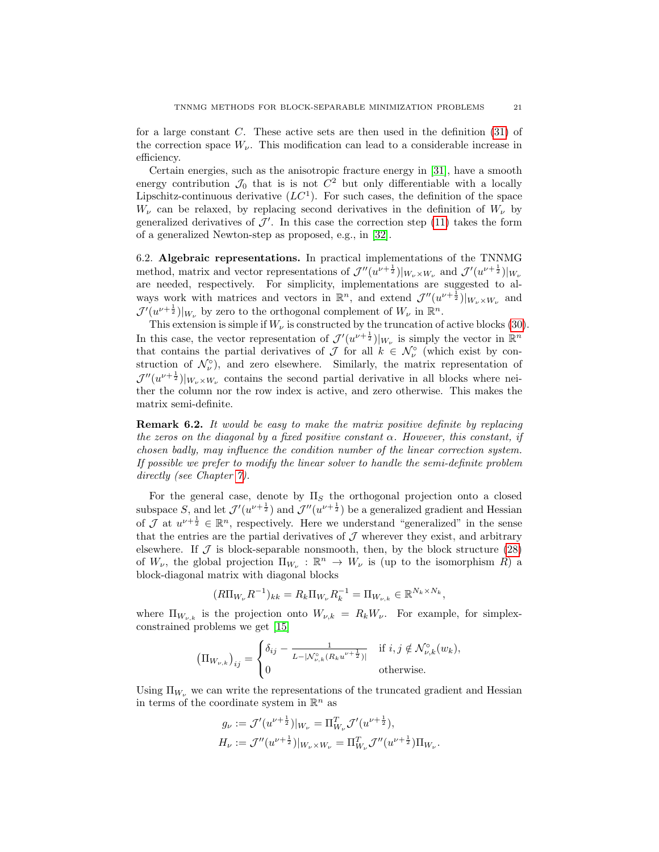for a large constant C. These active sets are then used in the definition  $(31)$  of the correction space  $W_{\nu}$ . This modification can lead to a considerable increase in efficiency.

Certain energies, such as the anisotropic fracture energy in [\[31\]](#page-26-8), have a smooth energy contribution  $\mathcal{J}_0$  that is is not  $C^2$  but only differentiable with a locally Lipschitz-continuous derivative  $(LC^1)$ . For such cases, the definition of the space  $W_{\nu}$  can be relaxed, by replacing second derivatives in the definition of  $W_{\nu}$  by generalized derivatives of  $\mathcal{J}'$ . In this case the correction step [\(11\)](#page-7-2) takes the form of a generalized Newton-step as proposed, e.g., in [\[32\]](#page-26-3).

6.2. Algebraic representations. In practical implementations of the TNNMG method, matrix and vector representations of  $\mathcal{J}''(u^{\nu+\frac{1}{2}})|_{W_{\nu}\times W_{\nu}}$  and  $\mathcal{J}'(u^{\nu+\frac{1}{2}})|_{W_{\nu}}$ are needed, respectively. For simplicity, implementations are suggested to always work with matrices and vectors in  $\mathbb{R}^n$ , and extend  $\mathcal{J}''(u^{\nu+\frac{1}{2}})|_{W_{\nu}\times W_{\nu}}$  and  $\mathcal{J}'(u^{\nu+\frac{1}{2}})|_{W_{\nu}}$  by zero to the orthogonal complement of  $W_{\nu}$  in  $\mathbb{R}^n$ .

This extension is simple if  $W_{\nu}$  is constructed by the truncation of active blocks [\(30\)](#page-18-0). In this case, the vector representation of  $\mathcal{J}'(u^{\nu+\frac{1}{2}})|_{W_{\nu}}$  is simply the vector in  $\mathbb{R}^n$ that contains the partial derivatives of  $\mathcal J$  for all  $k \in \mathcal N_\nu^\circ$  (which exist by construction of  $\mathcal{N}_{\nu}^{\circ}$ ), and zero elsewhere. Similarly, the matrix representation of  $\mathcal{J}''(u^{\nu+\frac{1}{2}})|_{W_{\nu}\times W_{\nu}}$  contains the second partial derivative in all blocks where neither the column nor the row index is active, and zero otherwise. This makes the matrix semi-definite.

Remark 6.2. It would be easy to make the matrix positive definite by replacing the zeros on the diagonal by a fixed positive constant  $\alpha$ . However, this constant, if chosen badly, may influence the condition number of the linear correction system. If possible we prefer to modify the linear solver to handle the semi-definite problem directly (see Chapter [7\)](#page-21-0).

For the general case, denote by  $\Pi<sub>S</sub>$  the orthogonal projection onto a closed subspace S, and let  $\mathcal{J}'(u^{\nu+\frac{1}{2}})$  and  $\mathcal{J}''(u^{\nu+\frac{1}{2}})$  be a generalized gradient and Hessian of  $\mathcal J$  at  $u^{\nu+\frac{1}{2}} \in \mathbb{R}^n$ , respectively. Here we understand "generalized" in the sense that the entries are the partial derivatives of  $\mathcal J$  wherever they exist, and arbitrary elsewhere. If  $\mathcal J$  is block-separable nonsmooth, then, by the block structure [\(28\)](#page-17-3) of  $W_{\nu}$ , the global projection  $\Pi_{W_{\nu}} : \mathbb{R}^n \to W_{\nu}$  is (up to the isomorphism R) a block-diagonal matrix with diagonal blocks

$$
(R\Pi_{W_{\nu}}R^{-1})_{kk} = R_k\Pi_{W_{\nu}}R_k^{-1} = \Pi_{W_{\nu,k}} \in \mathbb{R}^{N_k \times N_k},
$$

where  $\Pi_{W_{\nu,k}}$  is the projection onto  $W_{\nu,k} = R_k W_{\nu}$ . For example, for simplexconstrained problems we get [\[15\]](#page-25-10)

$$
\left(\Pi_{W_{\nu,k}}\right)_{ij} = \begin{cases} \delta_{ij} - \frac{1}{L - | \mathcal{N}_{\nu,k}^{\circ}(R_k u^{\nu + \frac{1}{2}}) |} & \text{if } i, j \notin \mathcal{N}_{\nu,k}^{\circ}(w_k), \\ 0 & \text{otherwise.} \end{cases}
$$

Using  $\Pi_{W_\nu}$  we can write the representations of the truncated gradient and Hessian in terms of the coordinate system in  $\mathbb{R}^n$  as

$$
g_{\nu} := \mathcal{J}'(u^{\nu + \frac{1}{2}})|_{W_{\nu}} = \Pi_{W_{\nu}}^{T} \mathcal{J}'(u^{\nu + \frac{1}{2}}),
$$
  

$$
H_{\nu} := \mathcal{J}''(u^{\nu + \frac{1}{2}})|_{W_{\nu} \times W_{\nu}} = \Pi_{W_{\nu}}^{T} \mathcal{J}''(u^{\nu + \frac{1}{2}})\Pi_{W_{\nu}}.
$$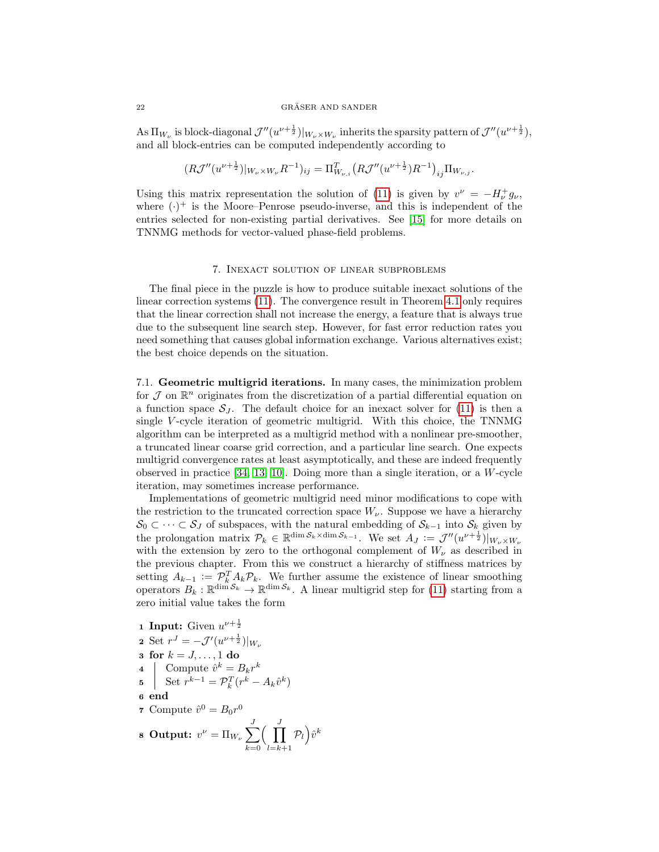As  $\Pi_{W_{\nu}}$  is block-diagonal  $\mathcal{J}''(u^{\nu+\frac{1}{2}})|_{W_{\nu}\times W_{\nu}}$  inherits the sparsity pattern of  $\mathcal{J}''(u^{\nu+\frac{1}{2}})$ , and all block-entries can be computed independently according to

$$
(R\mathcal{J}''(u^{\nu+\frac{1}{2}})|_{W_{\nu}\times W_{\nu}}R^{-1})_{ij}=\Pi_{W_{\nu,i}}^T\big(R\mathcal{J}''(u^{\nu+\frac{1}{2}})R^{-1}\big)_{ij}\Pi_{W_{\nu,j}}.
$$

Using this matrix representation the solution of [\(11\)](#page-7-2) is given by  $v^{\nu} = -H_{\nu}^{+}g_{\nu}$ , where  $(\cdot)^+$  is the Moore–Penrose pseudo-inverse, and this is independent of the entries selected for non-existing partial derivatives. See [\[15\]](#page-25-10) for more details on TNNMG methods for vector-valued phase-field problems.

# 7. Inexact solution of linear subproblems

<span id="page-21-0"></span>The final piece in the puzzle is how to produce suitable inexact solutions of the linear correction systems [\(11\)](#page-7-2). The convergence result in Theorem [4.1](#page-9-0) only requires that the linear correction shall not increase the energy, a feature that is always true due to the subsequent line search step. However, for fast error reduction rates you need something that causes global information exchange. Various alternatives exist; the best choice depends on the situation.

7.1. Geometric multigrid iterations. In many cases, the minimization problem for  $\mathcal J$  on  $\mathbb R^n$  originates from the discretization of a partial differential equation on a function space  $S_J$ . The default choice for an inexact solver for [\(11\)](#page-7-2) is then a single  $V$ -cycle iteration of geometric multigrid. With this choice, the TNNMG algorithm can be interpreted as a multigrid method with a nonlinear pre-smoother, a truncated linear coarse grid correction, and a particular line search. One expects multigrid convergence rates at least asymptotically, and these are indeed frequently observed in practice  $[34, 13, 10]$  $[34, 13, 10]$  $[34, 13, 10]$ . Doing more than a single iteration, or a W-cycle iteration, may sometimes increase performance.

Implementations of geometric multigrid need minor modifications to cope with the restriction to the truncated correction space  $W_{\nu}$ . Suppose we have a hierarchy  $S_0 \subset \cdots \subset S_J$  of subspaces, with the natural embedding of  $S_{k-1}$  into  $S_k$  given by the prolongation matrix  $\mathcal{P}_k \in \mathbb{R}^{\dim \mathcal{S}_k \times \dim \mathcal{S}_{k-1}}$ . We set  $A_J := \mathcal{J}''(u^{\nu + \frac{1}{2}})|_{W_{\nu} \times W_{\nu}}$ with the extension by zero to the orthogonal complement of  $W_{\nu}$  as described in the previous chapter. From this we construct a hierarchy of stiffness matrices by setting  $A_{k-1} := \mathcal{P}_k^T A_k \mathcal{P}_k$ . We further assume the existence of linear smoothing operators  $B_k: \mathbb{R}^{\dim S_k} \to \mathbb{R}^{\dim S_k}$ . A linear multigrid step for [\(11\)](#page-7-2) starting from a zero initial value takes the form

**1 Input:** Given  $u^{\nu + \frac{1}{2}}$ 2 Set  $r^{J} = -\mathcal{J}'(u^{\nu + \frac{1}{2}})|_{W_{\nu}}$ 3 for  $k = J, \ldots, 1$  do 4 Compute  $\hat{v}^k = B_k r^k$ 5 Set  $r^{k-1} = \mathcal{P}_k^T(r^k - A_k \hat{v}^k)$ <sup>6</sup> end 7 Compute  $\hat{v}^0 = B_0 r^0$ 8 Output:  $v^{\nu} = \Pi_{W_{\nu}} \sum_{i}^{J}$  $k=0$  $\int \prod$  $_{l=k+1}$  $\mathcal{P}_l \Big) \hat{v}^k$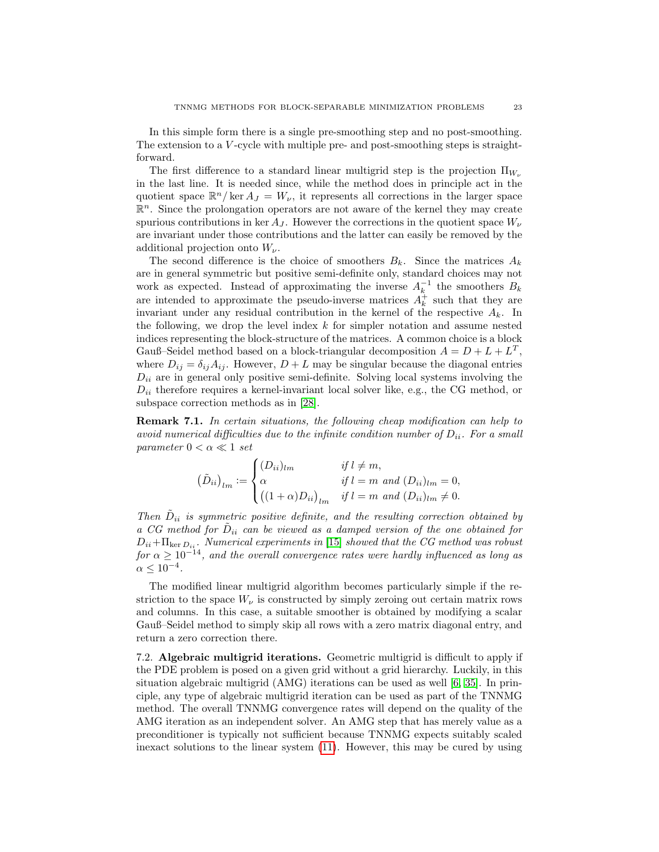In this simple form there is a single pre-smoothing step and no post-smoothing. The extension to a V-cycle with multiple pre- and post-smoothing steps is straightforward.

The first difference to a standard linear multigrid step is the projection  $\Pi_{W_{\nu}}$ in the last line. It is needed since, while the method does in principle act in the quotient space  $\mathbb{R}^n/\ker A_J = W_{\nu}$ , it represents all corrections in the larger space  $\mathbb{R}^n$ . Since the prolongation operators are not aware of the kernel they may create spurious contributions in ker  $A_J$ . However the corrections in the quotient space  $W_{\nu}$ are invariant under those contributions and the latter can easily be removed by the additional projection onto  $W_{\nu}$ .

The second difference is the choice of smoothers  $B_k$ . Since the matrices  $A_k$ are in general symmetric but positive semi-definite only, standard choices may not work as expected. Instead of approximating the inverse  $A_k^{-1}$  the smoothers  $B_k$ are intended to approximate the pseudo-inverse matrices  $A_k^{\dagger}$  such that they are invariant under any residual contribution in the kernel of the respective  $A_k$ . In the following, we drop the level index k for simpler notation and assume nested indices representing the block-structure of the matrices. A common choice is a block Gauß–Seidel method based on a block-triangular decomposition  $A = D + L + L^T$ , where  $D_{ij} = \delta_{ij} A_{ij}$ . However,  $D + L$  may be singular because the diagonal entries  $D_{ii}$  are in general only positive semi-definite. Solving local systems involving the  $D_{ii}$  therefore requires a kernel-invariant local solver like, e.g., the CG method, or subspace correction methods as in [\[28\]](#page-26-11).

Remark 7.1. In certain situations, the following cheap modification can help to avoid numerical difficulties due to the infinite condition number of  $D_{ii}$ . For a small parameter  $0 < \alpha \ll 1$  set

$$
(\tilde{D}_{ii})_{lm} := \begin{cases} (D_{ii})_{lm} & \text{if } l \neq m, \\ \alpha & \text{if } l = m \text{ and } (D_{ii})_{lm} = 0, \\ ((1 + \alpha)D_{ii})_{lm} & \text{if } l = m \text{ and } (D_{ii})_{lm} \neq 0. \end{cases}
$$

Then  $\tilde{D}_{ii}$  is symmetric positive definite, and the resulting correction obtained by a CG method for  $D_{ii}$  can be viewed as a damped version of the one obtained for  $D_{ii}$ + $\Pi_{\text{ker }D_{ii}}$ . Numerical experiments in [\[15\]](#page-25-10) showed that the CG method was robust for  $\alpha \geq 10^{-14}$ , and the overall convergence rates were hardly influenced as long as  $\alpha \leq 10^{-4}$ .

The modified linear multigrid algorithm becomes particularly simple if the restriction to the space  $W_{\nu}$  is constructed by simply zeroing out certain matrix rows and columns. In this case, a suitable smoother is obtained by modifying a scalar Gauß–Seidel method to simply skip all rows with a zero matrix diagonal entry, and return a zero correction there.

7.2. Algebraic multigrid iterations. Geometric multigrid is difficult to apply if the PDE problem is posed on a given grid without a grid hierarchy. Luckily, in this situation algebraic multigrid (AMG) iterations can be used as well [\[6,](#page-25-23) [35\]](#page-26-12). In principle, any type of algebraic multigrid iteration can be used as part of the TNNMG method. The overall TNNMG convergence rates will depend on the quality of the AMG iteration as an independent solver. An AMG step that has merely value as a preconditioner is typically not sufficient because TNNMG expects suitably scaled inexact solutions to the linear system [\(11\)](#page-7-2). However, this may be cured by using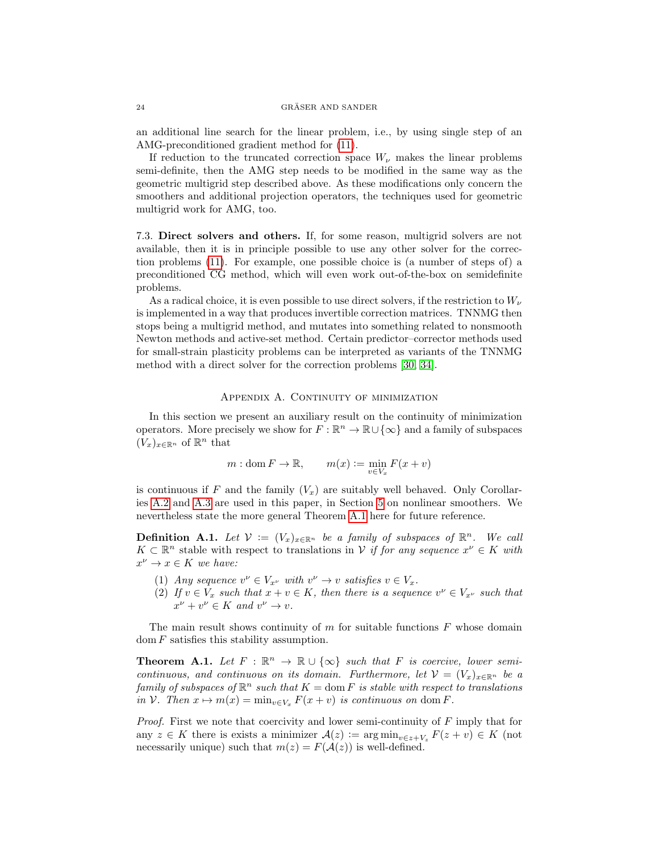an additional line search for the linear problem, i.e., by using single step of an AMG-preconditioned gradient method for [\(11\)](#page-7-2).

If reduction to the truncated correction space  $W_{\nu}$  makes the linear problems semi-definite, then the AMG step needs to be modified in the same way as the geometric multigrid step described above. As these modifications only concern the smoothers and additional projection operators, the techniques used for geometric multigrid work for AMG, too.

7.3. Direct solvers and others. If, for some reason, multigrid solvers are not available, then it is in principle possible to use any other solver for the correction problems [\(11\)](#page-7-2). For example, one possible choice is (a number of steps of) a preconditioned CG method, which will even work out-of-the-box on semidefinite problems.

As a radical choice, it is even possible to use direct solvers, if the restriction to  $W_{\nu}$ is implemented in a way that produces invertible correction matrices. TNNMG then stops being a multigrid method, and mutates into something related to nonsmooth Newton methods and active-set method. Certain predictor–corrector methods used for small-strain plasticity problems can be interpreted as variants of the TNNMG method with a direct solver for the correction problems [\[30,](#page-26-13) [34\]](#page-26-4).

# APPENDIX A. CONTINUITY OF MINIMIZATION

In this section we present an auxiliary result on the continuity of minimization operators. More precisely we show for  $F : \mathbb{R}^n \to \mathbb{R} \cup {\infty}$  and a family of subspaces  $(V_x)_{x \in \mathbb{R}^n}$  of  $\mathbb{R}^n$  that

$$
m: \text{dom } F \to \mathbb{R}, \qquad m(x) := \min_{v \in V_x} F(x+v)
$$

is continuous if F and the family  $(V_x)$  are suitably well behaved. Only Corollaries [A.2](#page-24-0) and [A.3](#page-24-1) are used in this paper, in Section [5](#page-10-0) on nonlinear smoothers. We nevertheless state the more general Theorem [A.1](#page-23-0) here for future reference.

<span id="page-23-1"></span>**Definition A.1.** Let  $V := (V_x)_{x \in \mathbb{R}^n}$  be a family of subspaces of  $\mathbb{R}^n$ . We call  $K \subset \mathbb{R}^n$  stable with respect to translations in V if for any sequence  $x^{\nu} \in K$  with  $x^{\nu} \rightarrow x \in K$  we have:

- (1) Any sequence  $v^{\nu} \in V_{x^{\nu}}$  with  $v^{\nu} \to v$  satisfies  $v \in V_x$ .
- (2) If  $v \in V_x$  such that  $x + v \in K$ , then there is a sequence  $v^{\nu} \in V_{x^{\nu}}$  such that  $x^{\nu} + v^{\nu} \in K$  and  $v^{\nu} \to v$ .

The main result shows continuity of  $m$  for suitable functions  $F$  whose domain  $dom F$  satisfies this stability assumption.

<span id="page-23-0"></span>**Theorem A.1.** Let  $F : \mathbb{R}^n \to \mathbb{R} \cup \{\infty\}$  such that F is coercive, lower semicontinuous, and continuous on its domain. Furthermore, let  $V = (V_x)_{x \in \mathbb{R}^n}$  be a family of subspaces of  $\mathbb{R}^n$  such that  $K = \text{dom } F$  is stable with respect to translations in V. Then  $x \mapsto m(x) = \min_{v \in V_x} F(x + v)$  is continuous on dom F.

*Proof.* First we note that coercivity and lower semi-continuity of  $F$  imply that for any  $z \in K$  there is exists a minimizer  $\mathcal{A}(z) := \arg \min_{v \in z + V_z} F(z + v) \in K$  (not necessarily unique) such that  $m(z) = F(\mathcal{A}(z))$  is well-defined.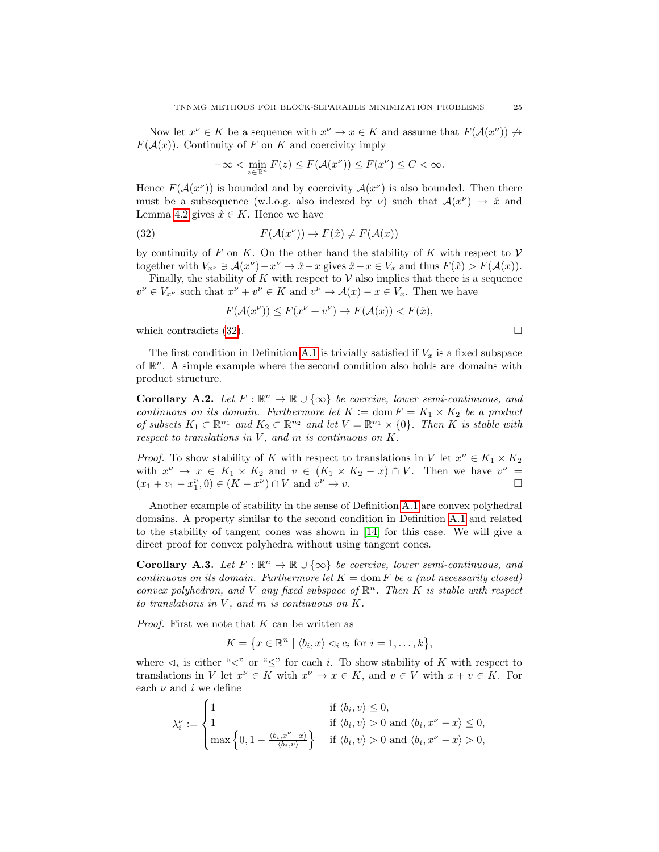Now let  $x^{\nu} \in K$  be a sequence with  $x^{\nu} \to x \in K$  and assume that  $F(\mathcal{A}(x^{\nu})) \not\to$  $F(A(x))$ . Continuity of F on K and coercivity imply

$$
-\infty < \min_{z \in \mathbb{R}^n} F(z) \le F(\mathcal{A}(x^\nu)) \le F(x^\nu) \le C < \infty.
$$

Hence  $F(\mathcal{A}(x^{\nu}))$  is bounded and by coercivity  $\mathcal{A}(x^{\nu})$  is also bounded. Then there must be a subsequence (w.l.o.g. also indexed by  $\nu$ ) such that  $\mathcal{A}(x^{\nu}) \to \hat{x}$  and Lemma [4.2](#page-9-1) gives  $\hat{x} \in K$ . Hence we have

<span id="page-24-2"></span>(32) 
$$
F(\mathcal{A}(x^{\nu})) \to F(\hat{x}) \neq F(\mathcal{A}(x))
$$

by continuity of F on K. On the other hand the stability of K with respect to  $\mathcal V$ together with  $V_{x^{\nu}} \ni \mathcal{A}(x^{\nu}) - x^{\nu} \to \hat{x} - x$  gives  $\hat{x} - x \in V_x$  and thus  $F(\hat{x}) > F(\mathcal{A}(x))$ .

Finally, the stability of K with respect to  $V$  also implies that there is a sequence  $v^{\nu} \in V_{x^{\nu}}$  such that  $x^{\nu} + v^{\nu} \in K$  and  $v^{\nu} \to \mathcal{A}(x) - x \in V_x$ . Then we have

$$
F(\mathcal{A}(x^{\nu})) \le F(x^{\nu} + v^{\nu}) \to F(\mathcal{A}(x)) < F(\hat{x}),
$$

which contradicts  $(32)$ .

The first condition in Definition [A.1](#page-23-1) is trivially satisfied if  $V_x$  is a fixed subspace of  $\mathbb{R}^n$ . A simple example where the second condition also holds are domains with product structure.

<span id="page-24-0"></span>Corollary A.2. Let  $F : \mathbb{R}^n \to \mathbb{R} \cup \{\infty\}$  be coercive, lower semi-continuous, and continuous on its domain. Furthermore let  $K := \text{dom } F = K_1 \times K_2$  be a product of subsets  $K_1 \subset \mathbb{R}^{n_1}$  and  $K_2 \subset \mathbb{R}^{n_2}$  and let  $V = \mathbb{R}^{n_1} \times \{0\}$ . Then K is stable with respect to translations in  $V$ , and  $m$  is continuous on  $K$ .

*Proof.* To show stability of K with respect to translations in V let  $x^{\nu} \in K_1 \times K_2$ with  $x^{\nu} \rightarrow x \in K_1 \times K_2$  and  $v \in (K_1 \times K_2 - x) \cap V$ . Then we have  $v^{\nu} =$  $(x_1 + v_1 - x_1^{\nu}, 0) \in (K - x^{\nu}) \cap V$  and  $v^{\nu} \to v$ .

Another example of stability in the sense of Definition [A.1](#page-23-1) are convex polyhedral domains. A property similar to the second condition in Definition [A.1](#page-23-1) and related to the stability of tangent cones was shown in [\[14\]](#page-25-8) for this case. We will give a direct proof for convex polyhedra without using tangent cones.

<span id="page-24-1"></span>**Corollary A.3.** Let  $F : \mathbb{R}^n \to \mathbb{R} \cup \{\infty\}$  be coercive, lower semi-continuous, and continuous on its domain. Furthermore let  $K = \text{dom } F$  be a (not necessarily closed) convex polyhedron, and V any fixed subspace of  $\mathbb{R}^n$ . Then K is stable with respect to translations in  $V$ , and  $m$  is continuous on  $K$ .

*Proof.* First we note that  $K$  can be written as

 $K = \{x \in \mathbb{R}^n \mid \langle b_i, x \rangle \lhd_i c_i \text{ for } i = 1, \ldots, k\},\$ 

where  $\lhd_i$  is either "<" or " $\leq$ " for each i. To show stability of K with respect to translations in V let  $x^{\nu} \in K$  with  $x^{\nu} \to x \in K$ , and  $v \in V$  with  $x + v \in K$ . For each  $\nu$  and i we define

$$
\lambda_i^{\nu} := \begin{cases} 1 & \text{if } \langle b_i, v \rangle \leq 0, \\ 1 & \text{if } \langle b_i, v \rangle > 0 \text{ and } \langle b_i, x^{\nu} - x \rangle \leq 0, \\ \max \left\{ 0, 1 - \frac{\langle b_i, x^{\nu} - x \rangle}{\langle b_i, v \rangle} \right\} & \text{if } \langle b_i, v \rangle > 0 \text{ and } \langle b_i, x^{\nu} - x \rangle > 0, \end{cases}
$$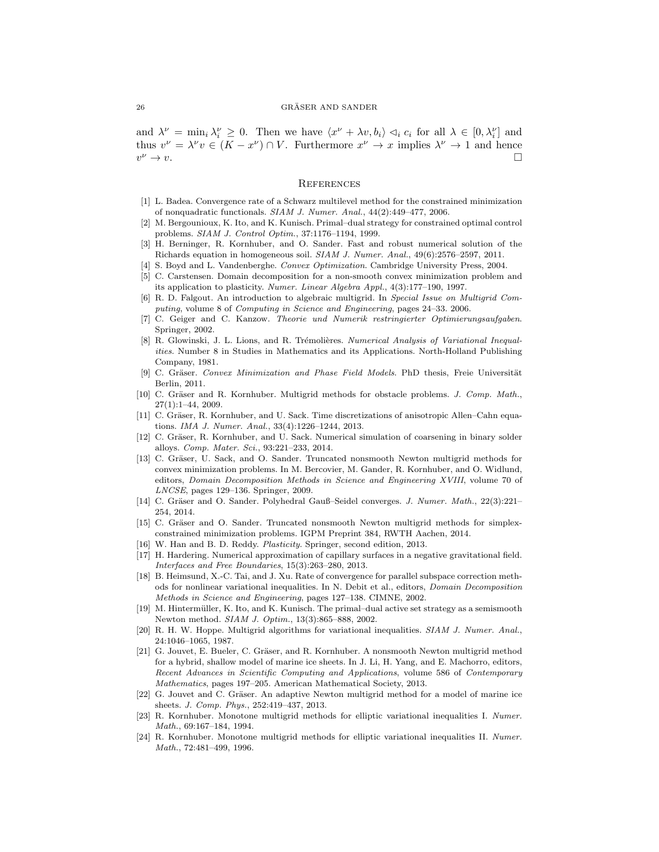#### $26$  GRÄSER AND SANDER

and  $\lambda^{\nu} = \min_i \lambda_i^{\nu} \geq 0$ . Then we have  $\langle x^{\nu} + \lambda v, b_i \rangle \langle a_i c_i \rangle$  for all  $\lambda \in [0, \lambda_i^{\nu}]$  and thus  $v^{\nu} = \lambda^{\nu} v \in (K - x^{\nu}) \cap V$ . Furthermore  $x^{\nu} \to x$  implies  $\lambda^{\nu} \to 1$  and hence  $v^{\nu} \rightarrow v.$  $\sim v$ .

### **REFERENCES**

- <span id="page-25-13"></span>[1] L. Badea. Convergence rate of a Schwarz multilevel method for the constrained minimization of nonquadratic functionals. SIAM J. Numer. Anal., 44(2):449–477, 2006.
- <span id="page-25-2"></span>[2] M. Bergounioux, K. Ito, and K. Kunisch. Primal–dual strategy for constrained optimal control problems. SIAM J. Control Optim., 37:1176–1194, 1999.
- <span id="page-25-0"></span>[3] H. Berninger, R. Kornhuber, and O. Sander. Fast and robust numerical solution of the Richards equation in homogeneous soil. SIAM J. Numer. Anal., 49(6):2576–2597, 2011.
- <span id="page-25-1"></span>[4] S. Boyd and L. Vandenberghe. Convex Optimization. Cambridge University Press, 2004.
- <span id="page-25-6"></span>[5] C. Carstensen. Domain decomposition for a non-smooth convex minimization problem and its application to plasticity. Numer. Linear Algebra Appl., 4(3):177–190, 1997.
- <span id="page-25-23"></span>[6] R. D. Falgout. An introduction to algebraic multigrid. In Special Issue on Multigrid Computing, volume 8 of Computing in Science and Engineering, pages 24–33. 2006.
- <span id="page-25-5"></span>[7] C. Geiger and C. Kanzow. Theorie und Numerik restringierter Optimierungsaufgaben. Springer, 2002.
- <span id="page-25-11"></span>[8] R. Glowinski, J. L. Lions, and R. Trémolières. Numerical Analysis of Variational Inequalities. Number 8 in Studies in Mathematics and its Applications. North-Holland Publishing Company, 1981.
- <span id="page-25-21"></span>[9] C. Gräser. Convex Minimization and Phase Field Models. PhD thesis, Freie Universität Berlin, 2011.
- <span id="page-25-7"></span>[10] C. Gräser and R. Kornhuber. Multigrid methods for obstacle problems. J. Comp. Math.,  $27(1):1-44, 2009.$
- <span id="page-25-19"></span>[11] C. Gräser, R. Kornhuber, and U. Sack. Time discretizations of anisotropic Allen–Cahn equations. IMA J. Numer. Anal., 33(4):1226–1244, 2013.
- <span id="page-25-22"></span>[12] C. Gräser, R. Kornhuber, and U. Sack. Numerical simulation of coarsening in binary solder alloys. Comp. Mater. Sci., 93:221–233, 2014.
- <span id="page-25-9"></span>[13] C. Gräser, U. Sack, and O. Sander. Truncated nonsmooth Newton multigrid methods for convex minimization problems. In M. Bercovier, M. Gander, R. Kornhuber, and O. Widlund, editors, Domain Decomposition Methods in Science and Engineering XVIII, volume 70 of LNCSE, pages 129–136. Springer, 2009.
- <span id="page-25-8"></span>[14] C. Gräser and O. Sander. Polyhedral Gauß–Seidel converges. J. Numer. Math., 22(3):221– 254, 2014.
- <span id="page-25-10"></span>[15] C. Gräser and O. Sander. Truncated nonsmooth Newton multigrid methods for simplexconstrained minimization problems. IGPM Preprint 384, RWTH Aachen, 2014.
- <span id="page-25-20"></span>[16] W. Han and B. D. Reddy. *Plasticity*. Springer, second edition, 2013.
- <span id="page-25-16"></span>[17] H. Hardering. Numerical approximation of capillary surfaces in a negative gravitational field. Interfaces and Free Boundaries, 15(3):263–280, 2013.
- <span id="page-25-12"></span>[18] B. Heimsund, X.-C. Tai, and J. Xu. Rate of convergence for parallel subspace correction methods for nonlinear variational inequalities. In N. Debit et al., editors, Domain Decomposition Methods in Science and Engineering, pages 127–138. CIMNE, 2002.
- <span id="page-25-4"></span>[19] M. Hintermüller, K. Ito, and K. Kunisch. The primal–dual active set strategy as a semismooth Newton method. *SIAM J. Optim.*, 13(3):865-888, 2002.
- <span id="page-25-3"></span>[20] R. H. W. Hoppe. Multigrid algorithms for variational inequalities. SIAM J. Numer. Anal., 24:1046–1065, 1987.
- <span id="page-25-17"></span>[21] G. Jouvet, E. Bueler, C. Gräser, and R. Kornhuber. A nonsmooth Newton multigrid method for a hybrid, shallow model of marine ice sheets. In J. Li, H. Yang, and E. Machorro, editors, Recent Advances in Scientific Computing and Applications, volume 586 of Contemporary Mathematics, pages 197–205. American Mathematical Society, 2013.
- <span id="page-25-18"></span>[22] G. Jouvet and C. Gräser. An adaptive Newton multigrid method for a model of marine ice sheets. J. Comp. Phys., 252:419–437, 2013.
- <span id="page-25-14"></span>[23] R. Kornhuber. Monotone multigrid methods for elliptic variational inequalities I. Numer. Math., 69:167–184, 1994.
- <span id="page-25-15"></span>[24] R. Kornhuber. Monotone multigrid methods for elliptic variational inequalities II. Numer. Math., 72:481–499, 1996.